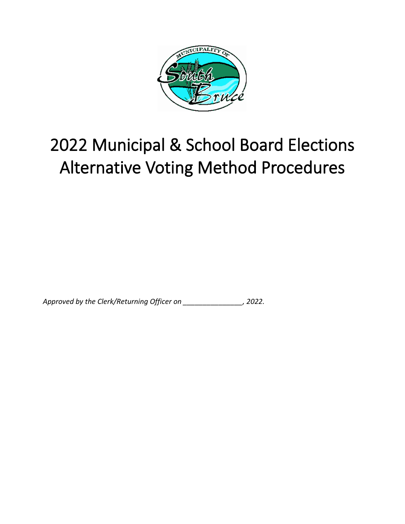

# <span id="page-0-0"></span>2022 Municipal & School Board Elections Alternative Voting Method Procedures

*Approved by the Clerk/Returning Officer on \_\_\_\_\_\_\_\_\_\_\_\_\_\_\_, 2022.*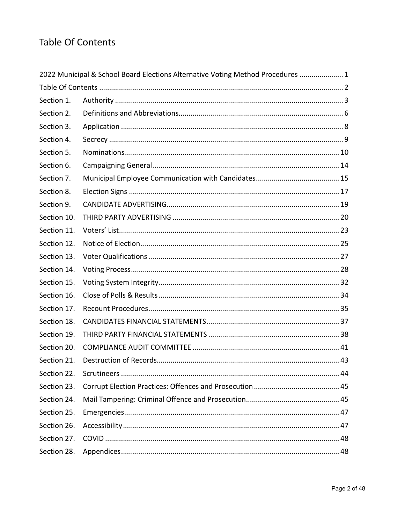# <span id="page-1-0"></span>**Table Of Contents**

| 2022 Municipal & School Board Elections Alternative Voting Method Procedures  1 |  |  |  |
|---------------------------------------------------------------------------------|--|--|--|
|                                                                                 |  |  |  |
| Section 1.                                                                      |  |  |  |
| Section 2.                                                                      |  |  |  |
| Section 3.                                                                      |  |  |  |
| Section 4.                                                                      |  |  |  |
| Section 5.                                                                      |  |  |  |
| Section 6.                                                                      |  |  |  |
| Section 7.                                                                      |  |  |  |
| Section 8.                                                                      |  |  |  |
| Section 9.                                                                      |  |  |  |
| Section 10.                                                                     |  |  |  |
| Section 11.                                                                     |  |  |  |
| Section 12.                                                                     |  |  |  |
| Section 13.                                                                     |  |  |  |
| Section 14.                                                                     |  |  |  |
| Section 15.                                                                     |  |  |  |
| Section 16.                                                                     |  |  |  |
| Section 17.                                                                     |  |  |  |
| Section 18.                                                                     |  |  |  |
| Section 19.                                                                     |  |  |  |
| Section 20.                                                                     |  |  |  |
| Section 21.                                                                     |  |  |  |
| Section 22.                                                                     |  |  |  |
| Section 23.                                                                     |  |  |  |
| Section 24.                                                                     |  |  |  |
| Section 25.                                                                     |  |  |  |
| Section 26.                                                                     |  |  |  |
| Section 27.                                                                     |  |  |  |
| Section 28.                                                                     |  |  |  |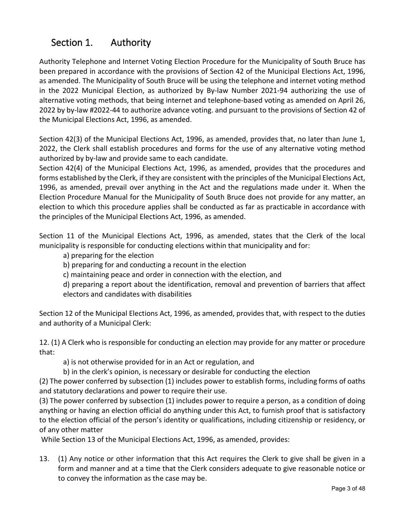# <span id="page-2-0"></span>Section 1. Authority

Authority Telephone and Internet Voting Election Procedure for the Municipality of South Bruce has been prepared in accordance with the provisions of Section 42 of the Municipal Elections Act, 1996, as amended. The Municipality of South Bruce will be using the telephone and internet voting method in the 2022 Municipal Election, as authorized by By-law Number 2021-94 authorizing the use of alternative voting methods, that being internet and telephone-based voting as amended on April 26, 2022 by by-law #2022-44 to authorize advance voting. and pursuant to the provisions of Section 42 of the Municipal Elections Act, 1996, as amended.

Section 42(3) of the Municipal Elections Act, 1996, as amended, provides that, no later than June 1, 2022, the Clerk shall establish procedures and forms for the use of any alternative voting method authorized by by-law and provide same to each candidate.

Section 42(4) of the Municipal Elections Act, 1996, as amended, provides that the procedures and forms established by the Clerk, if they are consistent with the principles of the Municipal Elections Act, 1996, as amended, prevail over anything in the Act and the regulations made under it. When the Election Procedure Manual for the Municipality of South Bruce does not provide for any matter, an election to which this procedure applies shall be conducted as far as practicable in accordance with the principles of the Municipal Elections Act, 1996, as amended.

Section 11 of the Municipal Elections Act, 1996, as amended, states that the Clerk of the local municipality is responsible for conducting elections within that municipality and for:

- a) preparing for the election
- b) preparing for and conducting a recount in the election
- c) maintaining peace and order in connection with the election, and

d) preparing a report about the identification, removal and prevention of barriers that affect electors and candidates with disabilities

Section 12 of the Municipal Elections Act, 1996, as amended, provides that, with respect to the duties and authority of a Municipal Clerk:

12. (1) A Clerk who is responsible for conducting an election may provide for any matter or procedure that:

a) is not otherwise provided for in an Act or regulation, and

b) in the clerk's opinion, is necessary or desirable for conducting the election

(2) The power conferred by subsection (1) includes power to establish forms, including forms of oaths and statutory declarations and power to require their use.

(3) The power conferred by subsection (1) includes power to require a person, as a condition of doing anything or having an election official do anything under this Act, to furnish proof that is satisfactory to the election official of the person's identity or qualifications, including citizenship or residency, or of any other matter

While Section 13 of the Municipal Elections Act, 1996, as amended, provides:

13. (1) Any notice or other information that this Act requires the Clerk to give shall be given in a form and manner and at a time that the Clerk considers adequate to give reasonable notice or to convey the information as the case may be.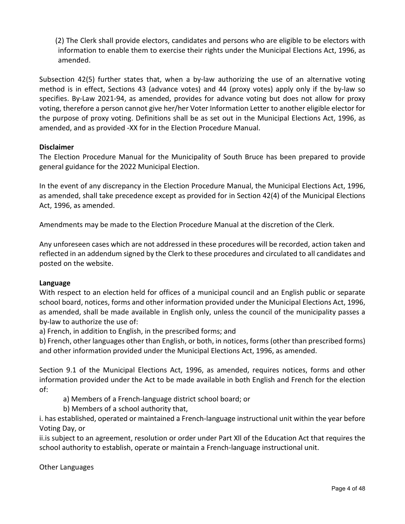(2) The Clerk shall provide electors, candidates and persons who are eligible to be electors with information to enable them to exercise their rights under the Municipal Elections Act, 1996, as amended.

Subsection 42(5) further states that, when a by-law authorizing the use of an alternative voting method is in effect, Sections 43 (advance votes) and 44 (proxy votes) apply only if the by-law so specifies. By-Law 2021-94, as amended, provides for advance voting but does not allow for proxy voting, therefore a person cannot give her/her Voter Information Letter to another eligible elector for the purpose of proxy voting. Definitions shall be as set out in the Municipal Elections Act, 1996, as amended, and as provided -XX for in the Election Procedure Manual.

#### **Disclaimer**

The Election Procedure Manual for the Municipality of South Bruce has been prepared to provide general guidance for the 2022 Municipal Election.

In the event of any discrepancy in the Election Procedure Manual, the Municipal Elections Act, 1996, as amended, shall take precedence except as provided for in Section 42(4) of the Municipal Elections Act, 1996, as amended.

Amendments may be made to the Election Procedure Manual at the discretion of the Clerk.

Any unforeseen cases which are not addressed in these procedures will be recorded, action taken and reflected in an addendum signed by the Clerk to these procedures and circulated to all candidates and posted on the website.

#### **Language**

With respect to an election held for offices of a municipal council and an English public or separate school board, notices, forms and other information provided under the Municipal Elections Act, 1996, as amended, shall be made available in English only, unless the council of the municipality passes a by-law to authorize the use of:

a) French, in addition to English, in the prescribed forms; and

b) French, other languages other than English, or both, in notices, forms (other than prescribed forms) and other information provided under the Municipal Elections Act, 1996, as amended.

Section 9.1 of the Municipal Elections Act, 1996, as amended, requires notices, forms and other information provided under the Act to be made available in both English and French for the election of:

a) Members of a French-language district school board; or

b) Members of a school authority that,

i. has established, operated or maintained a French-language instructional unit within the year before Voting Day, or

ii.is subject to an agreement, resolution or order under Part Xll of the Education Act that requires the school authority to establish, operate or maintain a French-language instructional unit.

Other Languages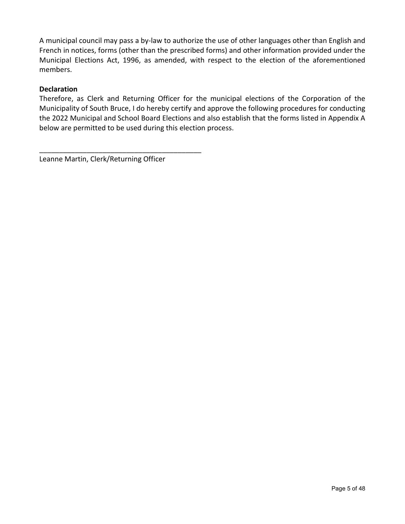A municipal council may pass a by-law to authorize the use of other languages other than English and French in notices, forms (other than the prescribed forms) and other information provided under the Municipal Elections Act, 1996, as amended, with respect to the election of the aforementioned members.

#### **Declaration**

Therefore, as Clerk and Returning Officer for the municipal elections of the Corporation of the Municipality of South Bruce, I do hereby certify and approve the following procedures for conducting the 2022 Municipal and School Board Elections and also establish that the forms listed in Appendix A below are permitted to be used during this election process.

Leanne Martin, Clerk/Returning Officer

\_\_\_\_\_\_\_\_\_\_\_\_\_\_\_\_\_\_\_\_\_\_\_\_\_\_\_\_\_\_\_\_\_\_\_\_\_\_\_\_\_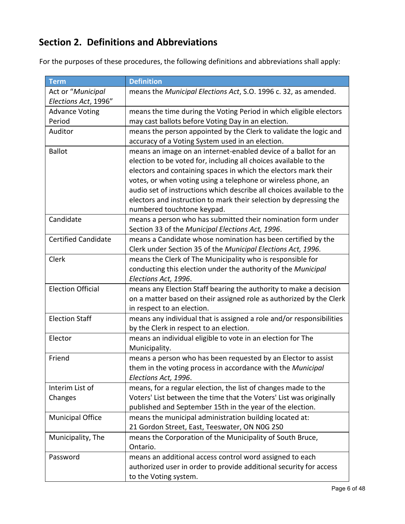# <span id="page-5-0"></span>**Section 2. Definitions and Abbreviations**

For the purposes of these procedures, the following definitions and abbreviations shall apply:

| <b>Term</b>                | <b>Definition</b>                                                     |
|----------------------------|-----------------------------------------------------------------------|
| Act or "Municipal          | means the Municipal Elections Act, S.O. 1996 c. 32, as amended.       |
| Elections Act, 1996"       |                                                                       |
| <b>Advance Voting</b>      | means the time during the Voting Period in which eligible electors    |
| Period                     | may cast ballots before Voting Day in an election.                    |
| Auditor                    | means the person appointed by the Clerk to validate the logic and     |
|                            | accuracy of a Voting System used in an election.                      |
| <b>Ballot</b>              | means an image on an internet-enabled device of a ballot for an       |
|                            | election to be voted for, including all choices available to the      |
|                            | electors and containing spaces in which the electors mark their       |
|                            | votes, or when voting using a telephone or wireless phone, an         |
|                            | audio set of instructions which describe all choices available to the |
|                            | electors and instruction to mark their selection by depressing the    |
|                            | numbered touchtone keypad.                                            |
| Candidate                  | means a person who has submitted their nomination form under          |
|                            | Section 33 of the Municipal Elections Act, 1996.                      |
| <b>Certified Candidate</b> | means a Candidate whose nomination has been certified by the          |
|                            | Clerk under Section 35 of the Municipal Elections Act, 1996.          |
| Clerk                      | means the Clerk of The Municipality who is responsible for            |
|                            | conducting this election under the authority of the Municipal         |
|                            | Elections Act, 1996.                                                  |
| <b>Election Official</b>   | means any Election Staff bearing the authority to make a decision     |
|                            | on a matter based on their assigned role as authorized by the Clerk   |
|                            | in respect to an election.                                            |
| <b>Election Staff</b>      | means any individual that is assigned a role and/or responsibilities  |
|                            | by the Clerk in respect to an election.                               |
| Elector                    | means an individual eligible to vote in an election for The           |
|                            | Municipality.                                                         |
| Friend                     | means a person who has been requested by an Elector to assist         |
|                            | them in the voting process in accordance with the Municipal           |
|                            | Elections Act, 1996.                                                  |
| Interim List of            | means, for a regular election, the list of changes made to the        |
| Changes                    | Voters' List between the time that the Voters' List was originally    |
|                            | published and September 15th in the year of the election.             |
| <b>Municipal Office</b>    | means the municipal administration building located at:               |
|                            | 21 Gordon Street, East, Teeswater, ON N0G 2S0                         |
| Municipality, The          | means the Corporation of the Municipality of South Bruce,             |
|                            | Ontario.                                                              |
| Password                   | means an additional access control word assigned to each              |
|                            | authorized user in order to provide additional security for access    |
|                            | to the Voting system.                                                 |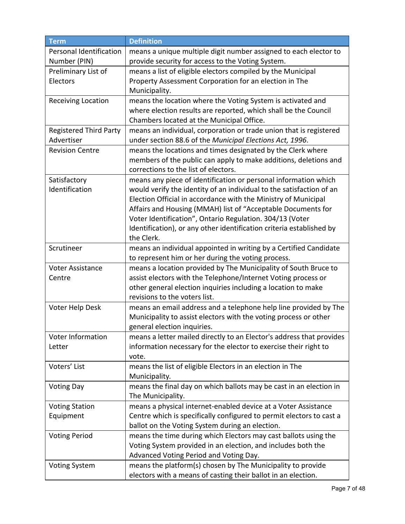| <b>Term</b>                   | <b>Definition</b>                                                    |
|-------------------------------|----------------------------------------------------------------------|
| Personal Identification       | means a unique multiple digit number assigned to each elector to     |
| Number (PIN)                  | provide security for access to the Voting System.                    |
| Preliminary List of           | means a list of eligible electors compiled by the Municipal          |
| Electors                      | Property Assessment Corporation for an election in The               |
|                               | Municipality.                                                        |
| <b>Receiving Location</b>     | means the location where the Voting System is activated and          |
|                               | where election results are reported, which shall be the Council      |
|                               | Chambers located at the Municipal Office.                            |
| <b>Registered Third Party</b> | means an individual, corporation or trade union that is registered   |
| Advertiser                    | under section 88.6 of the Municipal Elections Act, 1996.             |
| <b>Revision Centre</b>        | means the locations and times designated by the Clerk where          |
|                               | members of the public can apply to make additions, deletions and     |
|                               | corrections to the list of electors.                                 |
| Satisfactory                  | means any piece of identification or personal information which      |
| Identification                | would verify the identity of an individual to the satisfaction of an |
|                               | Election Official in accordance with the Ministry of Municipal       |
|                               | Affairs and Housing (MMAH) list of "Acceptable Documents for         |
|                               | Voter Identification", Ontario Regulation. 304/13 (Voter             |
|                               | Identification), or any other identification criteria established by |
|                               | the Clerk.                                                           |
| Scrutineer                    | means an individual appointed in writing by a Certified Candidate    |
|                               | to represent him or her during the voting process.                   |
| <b>Voter Assistance</b>       | means a location provided by The Municipality of South Bruce to      |
| Centre                        | assist electors with the Telephone/Internet Voting process or        |
|                               | other general election inquiries including a location to make        |
|                               | revisions to the voters list.                                        |
| Voter Help Desk               | means an email address and a telephone help line provided by The     |
|                               | Municipality to assist electors with the voting process or other     |
|                               | general election inquiries.                                          |
| Voter Information             | means a letter mailed directly to an Elector's address that provides |
| Letter                        | information necessary for the elector to exercise their right to     |
|                               | vote.                                                                |
| Voters' List                  | means the list of eligible Electors in an election in The            |
|                               | Municipality.                                                        |
| <b>Voting Day</b>             | means the final day on which ballots may be cast in an election in   |
|                               | The Municipality.                                                    |
| <b>Voting Station</b>         | means a physical internet-enabled device at a Voter Assistance       |
| Equipment                     | Centre which is specifically configured to permit electors to cast a |
|                               | ballot on the Voting System during an election.                      |
| <b>Voting Period</b>          | means the time during which Electors may cast ballots using the      |
|                               | Voting System provided in an election, and includes both the         |
|                               | Advanced Voting Period and Voting Day.                               |
| <b>Voting System</b>          | means the platform(s) chosen by The Municipality to provide          |
|                               | electors with a means of casting their ballot in an election.        |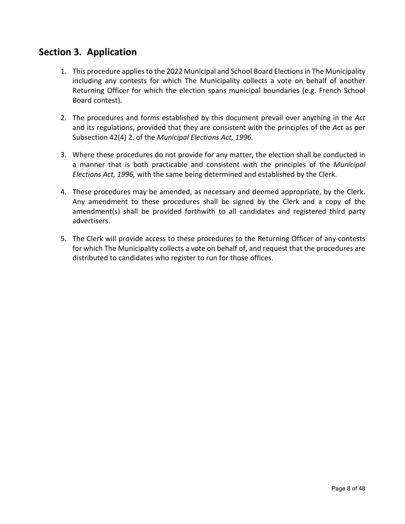## <span id="page-7-0"></span>**Section 3. Application**

- 1. This procedure applies to the 2022 Municipal and School Board Elections in The Municipality including any contests for which The Municipality collects a vote on behalf of another Returning Officer for which the election spans municipal boundaries (e.g. French School Board contest).
- 2. The procedures and forms established by this document prevail over anything in the *Act* and its regulations, provided that they are consistent with the principles of the *Act* as per Subsection 42(4) 2. of the *Municipal Elections Act, 1996.*
- 3. Where these procedures do not provide for any matter, the election shall be conducted in a manner that is both practicable and consistent with the principles of the *Municipal Elections Act, 1996,* with the same being determined and established by the Clerk.
- 4. These procedures may be amended, as necessary and deemed appropriate, by the Clerk. Any amendment to these procedures shall be signed by the Clerk and a copy of the amendment(s) shall be provided forthwith to all candidates and registered third party advertisers.
- 5. The Clerk will provide access to these procedures to the Returning Officer of any contests for which The Municipality collects a vote on behalf of, and request that the procedures are distributed to candidates who register to run for those offices.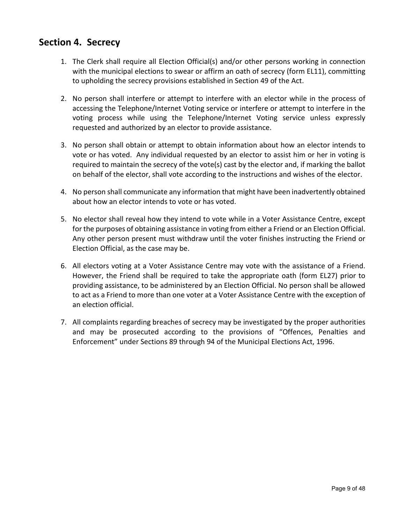## <span id="page-8-0"></span>**Section 4. Secrecy**

- 1. The Clerk shall require all Election Official(s) and/or other persons working in connection with the municipal elections to swear or affirm an oath of secrecy (form EL11), committing to upholding the secrecy provisions established in Section 49 of the Act.
- 2. No person shall interfere or attempt to interfere with an elector while in the process of accessing the Telephone/Internet Voting service or interfere or attempt to interfere in the voting process while using the Telephone/Internet Voting service unless expressly requested and authorized by an elector to provide assistance.
- 3. No person shall obtain or attempt to obtain information about how an elector intends to vote or has voted. Any individual requested by an elector to assist him or her in voting is required to maintain the secrecy of the vote(s) cast by the elector and, if marking the ballot on behalf of the elector, shall vote according to the instructions and wishes of the elector.
- 4. No person shall communicate any information that might have been inadvertently obtained about how an elector intends to vote or has voted.
- 5. No elector shall reveal how they intend to vote while in a Voter Assistance Centre, except for the purposes of obtaining assistance in voting from either a Friend or an Election Official. Any other person present must withdraw until the voter finishes instructing the Friend or Election Official, as the case may be.
- 6. All electors voting at a Voter Assistance Centre may vote with the assistance of a Friend. However, the Friend shall be required to take the appropriate oath (form EL27) prior to providing assistance, to be administered by an Election Official. No person shall be allowed to act as a Friend to more than one voter at a Voter Assistance Centre with the exception of an election official.
- 7. All complaints regarding breaches of secrecy may be investigated by the proper authorities and may be prosecuted according to the provisions of "Offences, Penalties and Enforcement" under Sections 89 through 94 of the Municipal Elections Act, 1996.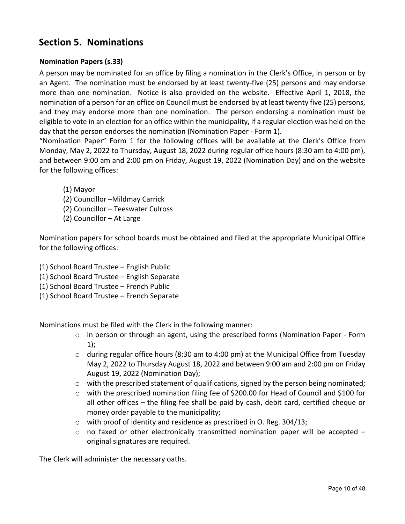# <span id="page-9-0"></span>**Section 5. Nominations**

#### **Nomination Papers (s.33)**

A person may be nominated for an office by filing a nomination in the Clerk's Office, in person or by an Agent. The nomination must be endorsed by at least twenty-five (25) persons and may endorse more than one nomination. Notice is also provided on the website. Effective April 1, 2018, the nomination of a person for an office on Council must be endorsed by at least twenty five (25) persons, and they may endorse more than one nomination. The person endorsing a nomination must be eligible to vote in an election for an office within the municipality, if a regular election was held on the day that the person endorses the nomination (Nomination Paper - Form 1).

"Nomination Paper" Form 1 for the following offices will be available at the Clerk's Office from Monday, May 2, 2022 to Thursday, August 18, 2022 during regular office hours (8:30 am to 4:00 pm), and between 9:00 am and 2:00 pm on Friday, August 19, 2022 (Nomination Day) and on the website for the following offices:

- (1) Mayor
- (2) Councillor –Mildmay Carrick
- (2) Councillor Teeswater Culross
- (2) Councillor At Large

Nomination papers for school boards must be obtained and filed at the appropriate Municipal Office for the following offices:

- (1) School Board Trustee English Public
- (1) School Board Trustee English Separate
- (1) School Board Trustee French Public
- (1) School Board Trustee French Separate

Nominations must be filed with the Clerk in the following manner:

- o in person or through an agent, using the prescribed forms (Nomination Paper Form 1);
- $\circ$  during regular office hours (8:30 am to 4:00 pm) at the Municipal Office from Tuesday May 2, 2022 to Thursday August 18, 2022 and between 9:00 am and 2:00 pm on Friday August 19, 2022 (Nomination Day);
- $\circ$  with the prescribed statement of qualifications, signed by the person being nominated;
- o with the prescribed nomination filing fee of \$200.00 for Head of Council and \$100 for all other offices – the filing fee shall be paid by cash, debit card, certified cheque or money order payable to the municipality;
- o with proof of identity and residence as prescribed in O. Reg. 304/13;
- $\circ$  no faxed or other electronically transmitted nomination paper will be accepted original signatures are required.

The Clerk will administer the necessary oaths.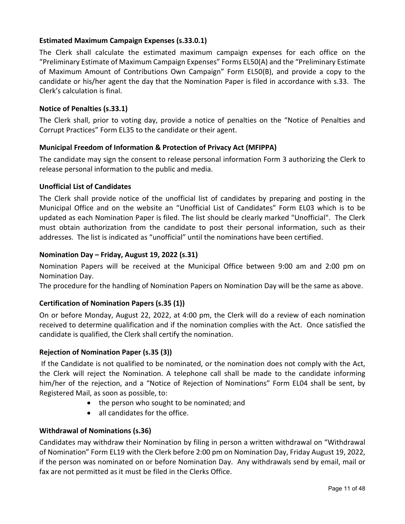#### **Estimated Maximum Campaign Expenses (s.33.0.1)**

The Clerk shall calculate the estimated maximum campaign expenses for each office on the "Preliminary Estimate of Maximum Campaign Expenses" Forms EL50(A) and the "Preliminary Estimate of Maximum Amount of Contributions Own Campaign" Form EL50(B), and provide a copy to the candidate or his/her agent the day that the Nomination Paper is filed in accordance with s.33. The Clerk's calculation is final.

#### **Notice of Penalties (s.33.1)**

The Clerk shall, prior to voting day, provide a notice of penalties on the "Notice of Penalties and Corrupt Practices" Form EL35 to the candidate or their agent.

#### **Municipal Freedom of Information & Protection of Privacy Act (MFIPPA)**

The candidate may sign the consent to release personal information Form 3 authorizing the Clerk to release personal information to the public and media.

#### **Unofficial List of Candidates**

The Clerk shall provide notice of the unofficial list of candidates by preparing and posting in the Municipal Office and on the website an "Unofficial List of Candidates" Form EL03 which is to be updated as each Nomination Paper is filed. The list should be clearly marked "Unofficial". The Clerk must obtain authorization from the candidate to post their personal information, such as their addresses. The list is indicated as "unofficial" until the nominations have been certified.

#### **Nomination Day – Friday, August 19, 2022 (s.31)**

Nomination Papers will be received at the Municipal Office between 9:00 am and 2:00 pm on Nomination Day.

The procedure for the handling of Nomination Papers on Nomination Day will be the same as above.

#### **Certification of Nomination Papers (s.35 (1))**

On or before Monday, August 22, 2022, at 4:00 pm, the Clerk will do a review of each nomination received to determine qualification and if the nomination complies with the Act. Once satisfied the candidate is qualified, the Clerk shall certify the nomination.

#### **Rejection of Nomination Paper (s.35 (3))**

If the Candidate is not qualified to be nominated, or the nomination does not comply with the Act, the Clerk will reject the Nomination. A telephone call shall be made to the candidate informing him/her of the rejection, and a "Notice of Rejection of Nominations" Form EL04 shall be sent, by Registered Mail, as soon as possible, to:

- the person who sought to be nominated; and
- all candidates for the office.

#### **Withdrawal of Nominations (s.36)**

Candidates may withdraw their Nomination by filing in person a written withdrawal on "Withdrawal of Nomination" Form EL19 with the Clerk before 2:00 pm on Nomination Day, Friday August 19, 2022, if the person was nominated on or before Nomination Day. Any withdrawals send by email, mail or fax are not permitted as it must be filed in the Clerks Office.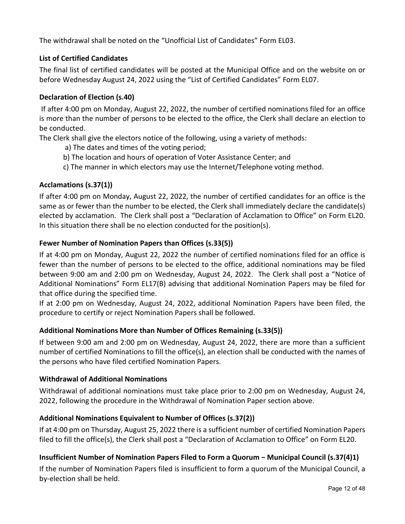The withdrawal shall be noted on the "Unofficial List of Candidates" Form EL03.

#### **List of Certified Candidates**

The final list of certified candidates will be posted at the Municipal Office and on the website on or before Wednesday August 24, 2022 using the "List of Certified Candidates" Form EL07.

#### **Declaration of Election (s.40)**

If after 4:00 pm on Monday, August 22, 2022, the number of certified nominations filed for an office is more than the number of persons to be elected to the office, the Clerk shall declare an election to be conducted.

The Clerk shall give the electors notice of the following, using a variety of methods:

- a) The dates and times of the voting period;
- b) The location and hours of operation of Voter Assistance Center; and
- c) The manner in which electors may use the Internet/Telephone voting method.

#### **Acclamations (s.37(1))**

If after 4:00 pm on Monday, August 22, 2022, the number of certified candidates for an office is the same as or fewer than the number to be elected, the Clerk shall immediately declare the candidate(s) elected by acclamation. The Clerk shall post a "Declaration of Acclamation to Office" on Form EL20. In this situation there shall be no election conducted for the position(s).

#### **Fewer Number of Nomination Papers than Offices (s.33(5))**

If at 4:00 pm on Monday, August 22, 2022 the number of certified nominations filed for an office is fewer than the number of persons to be elected to the office, additional nominations may be filed between 9:00 am and 2:00 pm on Wednesday, August 24, 2022. The Clerk shall post a "Notice of Additional Nominations" Form EL17(B) advising that additional Nomination Papers may be filed for that office during the specified time.

If at 2:00 pm on Wednesday, August 24, 2022, additional Nomination Papers have been filed, the procedure to certify or reject Nomination Papers shall be followed.

#### **Additional Nominations More than Number of Offices Remaining (s.33(5))**

If between 9:00 am and 2:00 pm on Wednesday, August 24, 2022, there are more than a sufficient number of certified Nominations to fill the office(s), an election shall be conducted with the names of the persons who have filed certified Nomination Papers.

#### **Withdrawal of Additional Nominations**

Withdrawal of additional nominations must take place prior to 2:00 pm on Wednesday, August 24, 2022, following the procedure in the Withdrawal of Nomination Paper section above.

#### **Additional Nominations Equivalent to Number of Offices (s.37(2))**

If at 4:00 pm on Thursday, August 25, 2022 there is a sufficient number of certified Nomination Papers filed to fill the office(s), the Clerk shall post a "Declaration of Acclamation to Office" on Form EL20.

#### **Insufficient Number of Nomination Papers Filed to Form a Quorum − Municipal Council (s.37(4)1)**

If the number of Nomination Papers filed is insufficient to form a quorum of the Municipal Council, a by-election shall be held.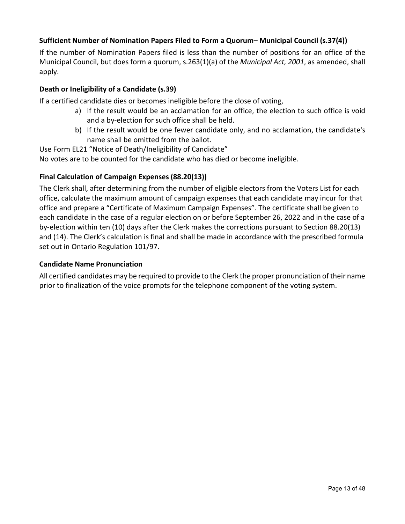#### **Sufficient Number of Nomination Papers Filed to Form a Quorum– Municipal Council (s.37(4))**

If the number of Nomination Papers filed is less than the number of positions for an office of the Municipal Council, but does form a quorum, s.263(1)(a) of the *Municipal Act, 2001*, as amended, shall apply.

#### **Death or Ineligibility of a Candidate (s.39)**

If a certified candidate dies or becomes ineligible before the close of voting,

- a) If the result would be an acclamation for an office, the election to such office is void and a by-election for such office shall be held.
- b) If the result would be one fewer candidate only, and no acclamation, the candidate's name shall be omitted from the ballot.

Use Form EL21 "Notice of Death/Ineligibility of Candidate"

No votes are to be counted for the candidate who has died or become ineligible.

#### **Final Calculation of Campaign Expenses (88.20(13))**

The Clerk shall, after determining from the number of eligible electors from the Voters List for each office, calculate the maximum amount of campaign expenses that each candidate may incur for that office and prepare a "Certificate of Maximum Campaign Expenses". The certificate shall be given to each candidate in the case of a regular election on or before September 26, 2022 and in the case of a by-election within ten (10) days after the Clerk makes the corrections pursuant to Section 88.20(13) and (14). The Clerk's calculation is final and shall be made in accordance with the prescribed formula set out in Ontario Regulation 101/97.

#### **Candidate Name Pronunciation**

All certified candidates may be required to provide to the Clerk the proper pronunciation of their name prior to finalization of the voice prompts for the telephone component of the voting system.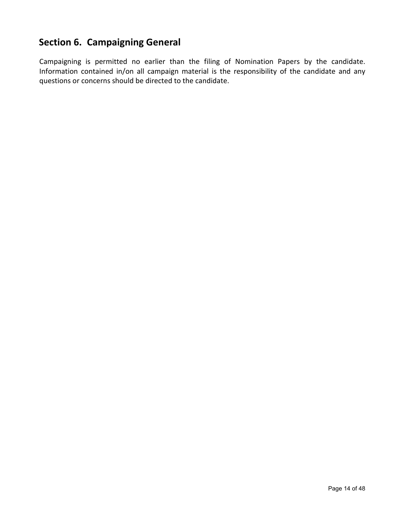# <span id="page-13-0"></span>**Section 6. Campaigning General**

Campaigning is permitted no earlier than the filing of Nomination Papers by the candidate. Information contained in/on all campaign material is the responsibility of the candidate and any questions or concerns should be directed to the candidate.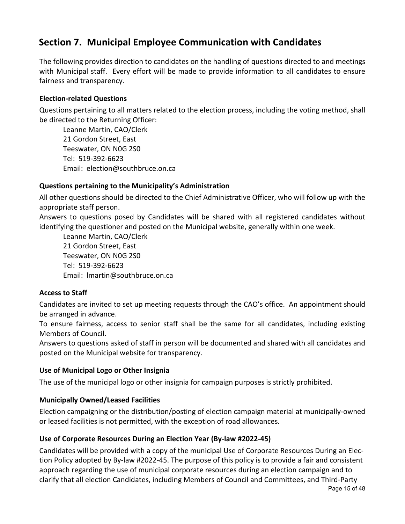# <span id="page-14-0"></span>**Section 7. Municipal Employee Communication with Candidates**

The following provides direction to candidates on the handling of questions directed to and meetings with Municipal staff. Every effort will be made to provide information to all candidates to ensure fairness and transparency.

#### **Election-related Questions**

Questions pertaining to all matters related to the election process, including the voting method, shall be directed to the Returning Officer:

Leanne Martin, CAO/Clerk 21 Gordon Street, East Teeswater, ON N0G 2S0 Tel: 519-392-6623 Email: election@southbruce.on.ca

#### **Questions pertaining to the Municipality's Administration**

All other questions should be directed to the Chief Administrative Officer, who will follow up with the appropriate staff person.

Answers to questions posed by Candidates will be shared with all registered candidates without identifying the questioner and posted on the Municipal website, generally within one week.

Leanne Martin, CAO/Clerk 21 Gordon Street, East Teeswater, ON N0G 2S0 Tel: 519-392-6623 Email: lmartin@southbruce.on.ca

#### **Access to Staff**

Candidates are invited to set up meeting requests through the CAO's office. An appointment should be arranged in advance.

To ensure fairness, access to senior staff shall be the same for all candidates, including existing Members of Council.

Answers to questions asked of staff in person will be documented and shared with all candidates and posted on the Municipal website for transparency.

#### **Use of Municipal Logo or Other Insignia**

The use of the municipal logo or other insignia for campaign purposes is strictly prohibited.

#### **Municipally Owned/Leased Facilities**

Election campaigning or the distribution/posting of election campaign material at municipally-owned or leased facilities is not permitted, with the exception of road allowances.

#### **Use of Corporate Resources During an Election Year (By-law #2022-45)**

Page 15 of 48 Candidates will be provided with a copy of the municipal Use of Corporate Resources During an Election Policy adopted by By-law #2022-45. The purpose of this policy is to provide a fair and consistent approach regarding the use of municipal corporate resources during an election campaign and to clarify that all election Candidates, including Members of Council and Committees, and Third-Party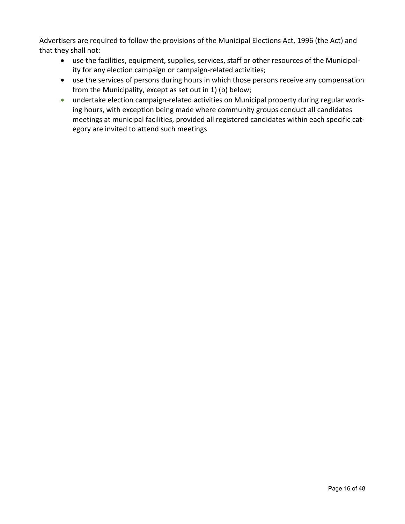Advertisers are required to follow the provisions of the Municipal Elections Act, 1996 (the Act) and that they shall not:

- use the facilities, equipment, supplies, services, staff or other resources of the Municipality for any election campaign or campaign-related activities;
- use the services of persons during hours in which those persons receive any compensation from the Municipality, except as set out in 1) (b) below;
- undertake election campaign-related activities on Municipal property during regular working hours, with exception being made where community groups conduct all candidates meetings at municipal facilities, provided all registered candidates within each specific category are invited to attend such meetings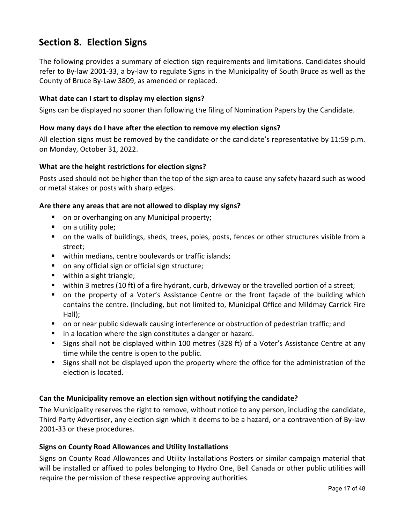# <span id="page-16-0"></span>**Section 8. Election Signs**

The following provides a summary of election sign requirements and limitations. Candidates should refer to By-law 2001-33, a by-law to regulate Signs in the Municipality of South Bruce as well as the County of Bruce By-Law 3809, as amended or replaced.

#### **What date can I start to display my election signs?**

Signs can be displayed no sooner than following the filing of Nomination Papers by the Candidate.

#### **How many days do I have after the election to remove my election signs?**

All election signs must be removed by the candidate or the candidate's representative by 11:59 p.m. on Monday, October 31, 2022.

#### **What are the height restrictions for election signs?**

Posts used should not be higher than the top of the sign area to cause any safety hazard such as wood or metal stakes or posts with sharp edges.

#### **Are there any areas that are not allowed to display my signs?**

- on or overhanging on any Municipal property;
- on a utility pole;
- on the walls of buildings, sheds, trees, poles, posts, fences or other structures visible from a street;
- **u** within medians, centre boulevards or traffic islands;
- on any official sign or official sign structure;
- within a sight triangle;
- within 3 metres (10 ft) of a fire hydrant, curb, driveway or the travelled portion of a street;
- on the property of a Voter's Assistance Centre or the front façade of the building which contains the centre. (Including, but not limited to, Municipal Office and Mildmay Carrick Fire Hall);
- **on or near public sidewalk causing interference or obstruction of pedestrian traffic; and**
- **I** in a location where the sign constitutes a danger or hazard.
- Signs shall not be displayed within 100 metres (328 ft) of a Voter's Assistance Centre at any time while the centre is open to the public.
- Signs shall not be displayed upon the property where the office for the administration of the election is located.

#### **Can the Municipality remove an election sign without notifying the candidate?**

The Municipality reserves the right to remove, without notice to any person, including the candidate, Third Party Advertiser, any election sign which it deems to be a hazard, or a contravention of By-law 2001-33 or these procedures.

#### **Signs on County Road Allowances and Utility Installations**

Signs on County Road Allowances and Utility Installations Posters or similar campaign material that will be installed or affixed to poles belonging to Hydro One, Bell Canada or other public utilities will require the permission of these respective approving authorities.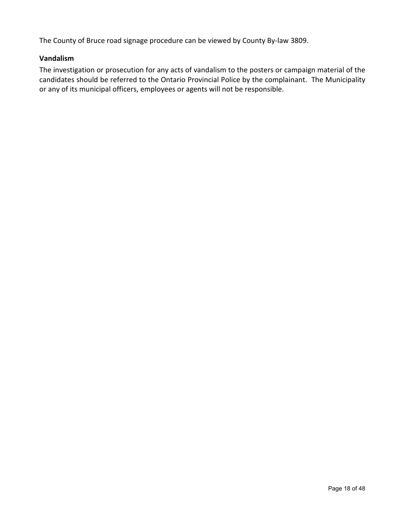The County of Bruce road signage procedure can be viewed by County By-law 3809.

#### **Vandalism**

The investigation or prosecution for any acts of vandalism to the posters or campaign material of the candidates should be referred to the Ontario Provincial Police by the complainant. The Municipality or any of its municipal officers, employees or agents will not be responsible.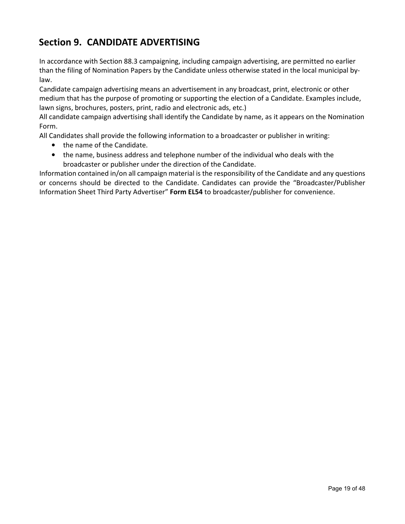# <span id="page-18-0"></span>**Section 9. CANDIDATE ADVERTISING**

In accordance with Section 88.3 campaigning, including campaign advertising, are permitted no earlier than the filing of Nomination Papers by the Candidate unless otherwise stated in the local municipal bylaw.

Candidate campaign advertising means an advertisement in any broadcast, print, electronic or other medium that has the purpose of promoting or supporting the election of a Candidate. Examples include, lawn signs, brochures, posters, print, radio and electronic ads, etc.)

All candidate campaign advertising shall identify the Candidate by name, as it appears on the Nomination Form.

All Candidates shall provide the following information to a broadcaster or publisher in writing:

- the name of the Candidate.
- the name, business address and telephone number of the individual who deals with the broadcaster or publisher under the direction of the Candidate.

Information contained in/on all campaign material is the responsibility of the Candidate and any questions or concerns should be directed to the Candidate. Candidates can provide the "Broadcaster/Publisher Information Sheet Third Party Advertiser" **Form EL54** to broadcaster/publisher for convenience.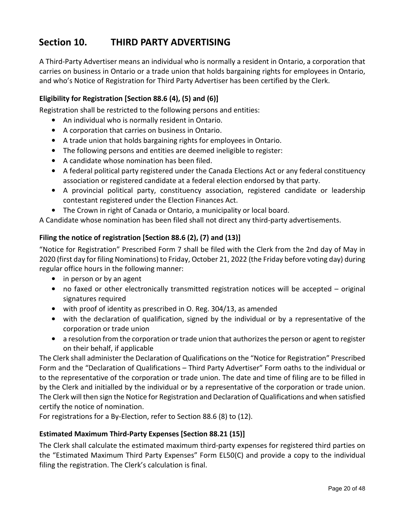# <span id="page-19-0"></span>**Section 10. THIRD PARTY ADVERTISING**

A Third-Party Advertiser means an individual who is normally a resident in Ontario, a corporation that carries on business in Ontario or a trade union that holds bargaining rights for employees in Ontario, and who's Notice of Registration for Third Party Advertiser has been certified by the Clerk.

#### **Eligibility for Registration [Section 88.6 (4), (5) and (6)]**

Registration shall be restricted to the following persons and entities:

- An individual who is normally resident in Ontario.
- A corporation that carries on business in Ontario.
- A trade union that holds bargaining rights for employees in Ontario.
- The following persons and entities are deemed ineligible to register:
- A candidate whose nomination has been filed.
- A federal political party registered under the Canada Elections Act or any federal constituency association or registered candidate at a federal election endorsed by that party.
- A provincial political party, constituency association, registered candidate or leadership contestant registered under the Election Finances Act.
- The Crown in right of Canada or Ontario, a municipality or local board.

A Candidate whose nomination has been filed shall not direct any third-party advertisements.

#### **Filing the notice of registration [Section 88.6 (2), (7) and (13)]**

"Notice for Registration" Prescribed Form 7 shall be filed with the Clerk from the 2nd day of May in 2020 (first day for filing Nominations) to Friday, October 21, 2022 (the Friday before voting day) during regular office hours in the following manner:

- in person or by an agent
- no faxed or other electronically transmitted registration notices will be accepted original signatures required
- with proof of identity as prescribed in O. Reg. 304/13, as amended
- with the declaration of qualification, signed by the individual or by a representative of the corporation or trade union
- a resolution from the corporation or trade union that authorizes the person or agent to register on their behalf, if applicable

The Clerk shall administer the Declaration of Qualifications on the "Notice for Registration" Prescribed Form and the "Declaration of Qualifications – Third Party Advertiser" Form oaths to the individual or to the representative of the corporation or trade union. The date and time of filing are to be filled in by the Clerk and initialled by the individual or by a representative of the corporation or trade union. The Clerk will then sign the Notice for Registration and Declaration of Qualifications and when satisfied certify the notice of nomination.

For registrations for a By-Election, refer to Section 88.6 (8) to (12).

#### **Estimated Maximum Third-Party Expenses [Section 88.21 (15)]**

The Clerk shall calculate the estimated maximum third-party expenses for registered third parties on the "Estimated Maximum Third Party Expenses" Form EL50(C) and provide a copy to the individual filing the registration. The Clerk's calculation is final.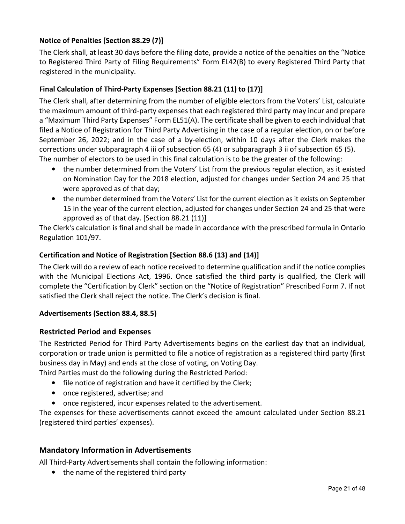#### **Notice of Penalties [Section 88.29 (7)]**

The Clerk shall, at least 30 days before the filing date, provide a notice of the penalties on the "Notice to Registered Third Party of Filing Requirements" Form EL42(B) to every Registered Third Party that registered in the municipality.

#### **Final Calculation of Third-Party Expenses [Section 88.21 (11) to (17)]**

The Clerk shall, after determining from the number of eligible electors from the Voters' List, calculate the maximum amount of third-party expenses that each registered third party may incur and prepare a "Maximum Third Party Expenses" Form EL51(A). The certificate shall be given to each individual that filed a Notice of Registration for Third Party Advertising in the case of a regular election, on or before September 26, 2022; and in the case of a by-election, within 10 days after the Clerk makes the corrections under subparagraph 4 iii of subsection 65 (4) or subparagraph 3 ii of subsection 65 (5). The number of electors to be used in this final calculation is to be the greater of the following:

- the number determined from the Voters' List from the previous regular election, as it existed on Nomination Day for the 2018 election, adjusted for changes under Section 24 and 25 that were approved as of that day;
- the number determined from the Voters' List for the current election as it exists on September 15 in the year of the current election, adjusted for changes under Section 24 and 25 that were approved as of that day. [Section 88.21 (11)]

The Clerk's calculation is final and shall be made in accordance with the prescribed formula in Ontario Regulation 101/97.

#### **Certification and Notice of Registration [Section 88.6 (13) and (14)]**

The Clerk will do a review of each notice received to determine qualification and if the notice complies with the Municipal Elections Act, 1996. Once satisfied the third party is qualified, the Clerk will complete the "Certification by Clerk" section on the "Notice of Registration" Prescribed Form 7. If not satisfied the Clerk shall reject the notice. The Clerk's decision is final.

#### **Advertisements (Section 88.4, 88.5)**

#### **Restricted Period and Expenses**

The Restricted Period for Third Party Advertisements begins on the earliest day that an individual, corporation or trade union is permitted to file a notice of registration as a registered third party (first business day in May) and ends at the close of voting, on Voting Day.

Third Parties must do the following during the Restricted Period:

- file notice of registration and have it certified by the Clerk;
- once registered, advertise; and
- once registered, incur expenses related to the advertisement.

The expenses for these advertisements cannot exceed the amount calculated under Section 88.21 (registered third parties' expenses).

#### **Mandatory Information in Advertisements**

All Third-Party Advertisements shall contain the following information:

• the name of the registered third party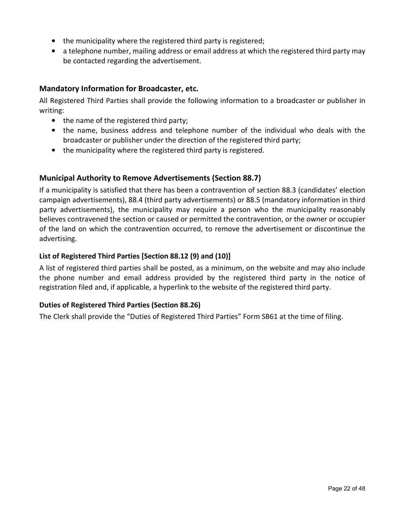- the municipality where the registered third party is registered;
- a telephone number, mailing address or email address at which the registered third party may be contacted regarding the advertisement.

#### **Mandatory Information for Broadcaster, etc.**

All Registered Third Parties shall provide the following information to a broadcaster or publisher in writing:

- the name of the registered third party;
- the name, business address and telephone number of the individual who deals with the broadcaster or publisher under the direction of the registered third party;
- the municipality where the registered third party is registered.

#### **Municipal Authority to Remove Advertisements (Section 88.7)**

If a municipality is satisfied that there has been a contravention of section 88.3 (candidates' election campaign advertisements), 88.4 (third party advertisements) or 88.5 (mandatory information in third party advertisements), the municipality may require a person who the municipality reasonably believes contravened the section or caused or permitted the contravention, or the owner or occupier of the land on which the contravention occurred, to remove the advertisement or discontinue the advertising.

#### **List of Registered Third Parties [Section 88.12 (9) and (10)]**

A list of registered third parties shall be posted, as a minimum, on the website and may also include the phone number and email address provided by the registered third party in the notice of registration filed and, if applicable, a hyperlink to the website of the registered third party.

#### **Duties of Registered Third Parties (Section 88.26)**

The Clerk shall provide the "Duties of Registered Third Parties" Form SB61 at the time of filing.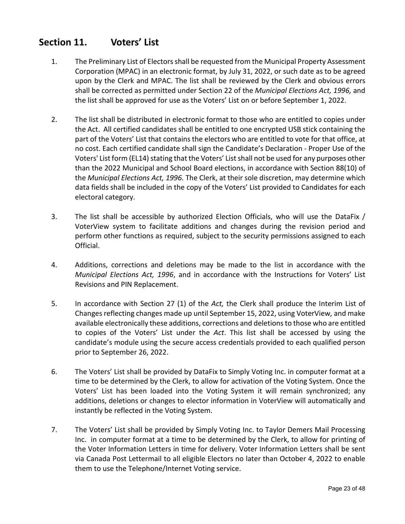### <span id="page-22-0"></span>**Section 11. Voters' List**

- 1. The Preliminary List of Electors shall be requested from the Municipal Property Assessment Corporation (MPAC) in an electronic format, by July 31, 2022, or such date as to be agreed upon by the Clerk and MPAC. The list shall be reviewed by the Clerk and obvious errors shall be corrected as permitted under Section 22 of the *Municipal Elections Act, 1996,* and the list shall be approved for use as the Voters' List on or before September 1, 2022.
- 2. The list shall be distributed in electronic format to those who are entitled to copies under the Act. All certified candidates shall be entitled to one encrypted USB stick containing the part of the Voters' List that contains the electors who are entitled to vote for that office, at no cost. Each certified candidate shall sign the Candidate's Declaration - Proper Use of the Voters' List form (EL14) stating that the Voters' List shall not be used for any purposes other than the 2022 Municipal and School Board elections, in accordance with Section 88(10) of the *Municipal Elections Act, 1996.* The Clerk, at their sole discretion, may determine which data fields shall be included in the copy of the Voters' List provided to Candidates for each electoral category.
- 3. The list shall be accessible by authorized Election Officials, who will use the DataFix / VoterView system to facilitate additions and changes during the revision period and perform other functions as required, subject to the security permissions assigned to each Official.
- 4. Additions, corrections and deletions may be made to the list in accordance with the *Municipal Elections Act, 1996*, and in accordance with the Instructions for Voters' List Revisions and PIN Replacement.
- 5. In accordance with Section 27 (1) of the *Act,* the Clerk shall produce the Interim List of Changes reflecting changes made up until September 15, 2022, using VoterView*,* and make available electronically these additions, corrections and deletions to those who are entitled to copies of the Voters' List under the *Act*. This list shall be accessed by using the candidate's module using the secure access credentials provided to each qualified person prior to September 26, 2022.
- 6. The Voters' List shall be provided by DataFix to Simply Voting Inc. in computer format at a time to be determined by the Clerk, to allow for activation of the Voting System. Once the Voters' List has been loaded into the Voting System it will remain synchronized; any additions, deletions or changes to elector information in VoterView will automatically and instantly be reflected in the Voting System.
- 7. The Voters' List shall be provided by Simply Voting Inc. to Taylor Demers Mail Processing Inc. in computer format at a time to be determined by the Clerk, to allow for printing of the Voter Information Letters in time for delivery. Voter Information Letters shall be sent via Canada Post Lettermail to all eligible Electors no later than October 4, 2022 to enable them to use the Telephone/Internet Voting service.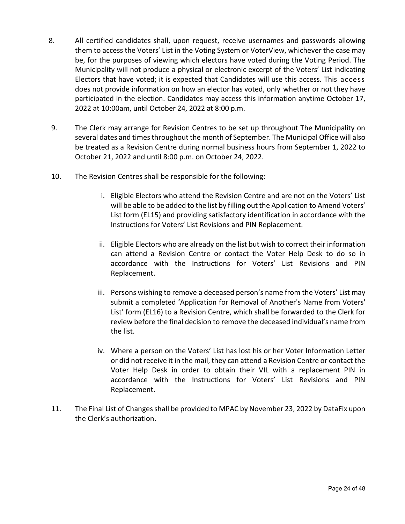- 8. All certified candidates shall, upon request, receive usernames and passwords allowing them to access the Voters' List in the Voting System or VoterView, whichever the case may be, for the purposes of viewing which electors have voted during the Voting Period. The Municipality will not produce a physical or electronic excerpt of the Voters' List indicating Electors that have voted; it is expected that Candidates will use this access. This access does not provide information on how an elector has voted, only whether or not they have participated in the election. Candidates may access this information anytime October 17, 2022 at 10:00am, until October 24, 2022 at 8:00 p.m.
- 9. The Clerk may arrange for Revision Centres to be set up throughout The Municipality on several dates and times throughout the month of September. The Municipal Office will also be treated as a Revision Centre during normal business hours from September 1, 2022 to October 21, 2022 and until 8:00 p.m. on October 24, 2022.
- 10. The Revision Centres shall be responsible for the following:
	- i. Eligible Electors who attend the Revision Centre and are not on the Voters' List will be able to be added to the list by filling out the Application to Amend Voters' List form (EL15) and providing satisfactory identification in accordance with the Instructions for Voters' List Revisions and PIN Replacement.
	- ii. Eligible Electors who are already on the list but wish to correct their information can attend a Revision Centre or contact the Voter Help Desk to do so in accordance with the Instructions for Voters' List Revisions and PIN Replacement.
	- iii. Persons wishing to remove a deceased person's name from the Voters' List may submit a completed 'Application for Removal of Another's Name from Voters' List' form (EL16) to a Revision Centre, which shall be forwarded to the Clerk for review before the final decision to remove the deceased individual's name from the list.
	- iv. Where a person on the Voters' List has lost his or her Voter Information Letter or did not receive it in the mail, they can attend a Revision Centre or contact the Voter Help Desk in order to obtain their VIL with a replacement PIN in accordance with the Instructions for Voters' List Revisions and PIN Replacement.
- 11. The Final List of Changes shall be provided to MPAC by November 23, 2022 by DataFix upon the Clerk's authorization.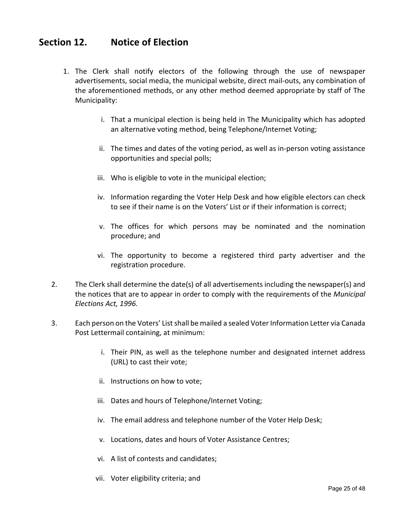### <span id="page-24-0"></span>**Section 12. Notice of Election**

- 1. The Clerk shall notify electors of the following through the use of newspaper advertisements, social media, the municipal website, direct mail-outs, any combination of the aforementioned methods, or any other method deemed appropriate by staff of The Municipality:
	- i. That a municipal election is being held in The Municipality which has adopted an alternative voting method, being Telephone/Internet Voting;
	- ii. The times and dates of the voting period, as well as in-person voting assistance opportunities and special polls;
	- iii. Who is eligible to vote in the municipal election;
	- iv. Information regarding the Voter Help Desk and how eligible electors can check to see if their name is on the Voters' List or if their information is correct;
	- v. The offices for which persons may be nominated and the nomination procedure; and
	- vi. The opportunity to become a registered third party advertiser and the registration procedure.
- 2. The Clerk shall determine the date(s) of all advertisements including the newspaper(s) and the notices that are to appear in order to comply with the requirements of the *Municipal Elections Act, 1996.*
- 3. Each person on the Voters' List shall be mailed a sealed Voter Information Letter via Canada Post Lettermail containing, at minimum:
	- i. Their PIN, as well as the telephone number and designated internet address (URL) to cast their vote;
	- ii. Instructions on how to vote;
	- iii. Dates and hours of Telephone/Internet Voting;
	- iv. The email address and telephone number of the Voter Help Desk;
	- v. Locations, dates and hours of Voter Assistance Centres;
	- vi. A list of contests and candidates;
	- vii. Voter eligibility criteria; and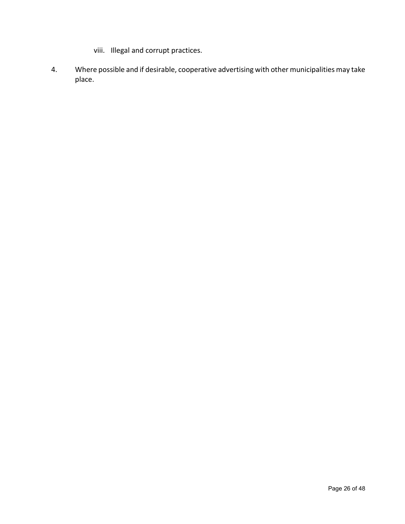- viii. Illegal and corrupt practices.
- 4. Where possible and if desirable, cooperative advertising with other municipalities may take place.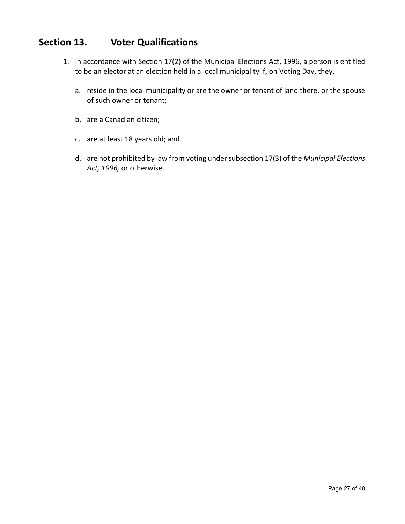# <span id="page-26-0"></span>**Section 13. Voter Qualifications**

- 1. In accordance with Section 17(2) of the Municipal Elections Act, 1996, a person is entitled to be an elector at an election held in a local municipality if, on Voting Day, they,
	- a. reside in the local municipality or are the owner or tenant of land there, or the spouse of such owner or tenant;
	- b. are a Canadian citizen;
	- c. are at least 18 years old; and
	- d. are not prohibited by law from voting under subsection 17(3) of the *Municipal Elections Act, 1996,* or otherwise.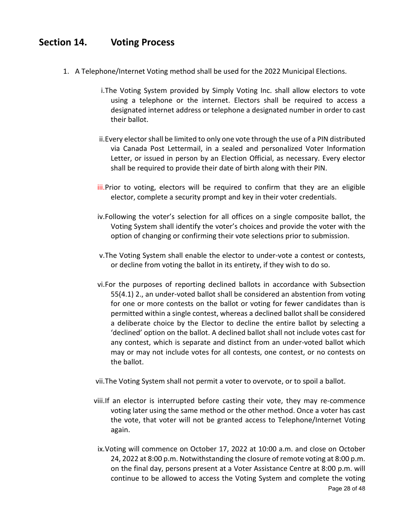# <span id="page-27-0"></span>**Section 14. Voting Process**

- 1. A Telephone/Internet Voting method shall be used for the 2022 Municipal Elections.
	- i.The Voting System provided by Simply Voting Inc. shall allow electors to vote using a telephone or the internet. Electors shall be required to access a designated internet address or telephone a designated number in order to cast their ballot.
	- ii.Every elector shall be limited to only one vote through the use of a PIN distributed via Canada Post Lettermail, in a sealed and personalized Voter Information Letter, or issued in person by an Election Official, as necessary. Every elector shall be required to provide their date of birth along with their PIN.
	- iii. Prior to voting, electors will be required to confirm that they are an eligible elector, complete a security prompt and key in their voter credentials.
	- iv.Following the voter's selection for all offices on a single composite ballot, the Voting System shall identify the voter's choices and provide the voter with the option of changing or confirming their vote selections prior to submission.
	- v.The Voting System shall enable the elector to under-vote a contest or contests, or decline from voting the ballot in its entirety, if they wish to do so.
	- vi.For the purposes of reporting declined ballots in accordance with Subsection 55(4.1) 2., an under-voted ballot shall be considered an abstention from voting for one or more contests on the ballot or voting for fewer candidates than is permitted within a single contest, whereas a declined ballot shall be considered a deliberate choice by the Elector to decline the entire ballot by selecting a 'declined' option on the ballot. A declined ballot shall not include votes cast for any contest, which is separate and distinct from an under-voted ballot which may or may not include votes for all contests, one contest, or no contests on the ballot.
	- vii.The Voting System shall not permit a voter to overvote, or to spoil a ballot.
	- viii.If an elector is interrupted before casting their vote, they may re-commence voting later using the same method or the other method. Once a voter has cast the vote, that voter will not be granted access to Telephone/Internet Voting again.
	- Page 28 of 48 ix.Voting will commence on October 17, 2022 at 10:00 a.m. and close on October 24, 2022 at 8:00 p.m. Notwithstanding the closure of remote voting at 8:00 p.m. on the final day, persons present at a Voter Assistance Centre at 8:00 p.m. will continue to be allowed to access the Voting System and complete the voting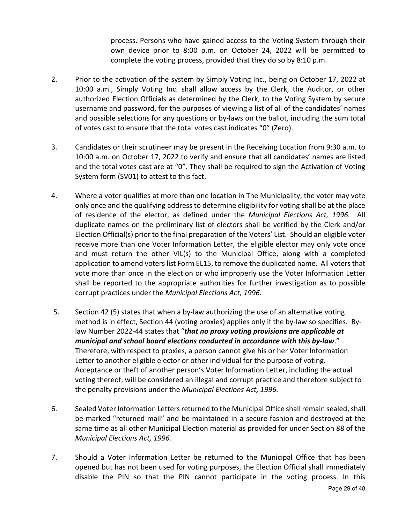process. Persons who have gained access to the Voting System through their own device prior to 8:00 p.m. on October 24, 2022 will be permitted to complete the voting process, provided that they do so by 8:10 p.m.

- 2. Prior to the activation of the system by Simply Voting Inc., being on October 17, 2022 at 10:00 a.m., Simply Voting Inc. shall allow access by the Clerk, the Auditor, or other authorized Election Officials as determined by the Clerk, to the Voting System by secure username and password, for the purposes of viewing a list of all of the candidates' names and possible selections for any questions or by-laws on the ballot, including the sum total of votes cast to ensure that the total votes cast indicates "0" (Zero).
- 3. Candidates or their scrutineer may be present in the Receiving Location from 9:30 a.m. to 10:00 a.m. on October 17, 2022 to verify and ensure that all candidates' names are listed and the total votes cast are at "0". They shall be required to sign the Activation of Voting System form (SV01) to attest to this fact.
- 4. Where a voter qualifies at more than one location in The Municipality, the voter may vote only once and the qualifying address to determine eligibility for voting shall be at the place of residence of the elector, as defined under the *Municipal Elections Act, 1996.* All duplicate names on the preliminary list of electors shall be verified by the Clerk and/or Election Official(s) prior to the final preparation of the Voters' List. Should an eligible voter receive more than one Voter Information Letter, the eligible elector may only vote once and must return the other VIL(s) to the Municipal Office, along with a completed application to amend voters list Form EL15, to remove the duplicated name. All voters that vote more than once in the election or who improperly use the Voter Information Letter shall be reported to the appropriate authorities for further investigation as to possible corrupt practices under the *Municipal Elections Act, 1996.*
- 5. Section 42 (5) states that when a by-law authorizing the use of an alternative voting method is in effect, Section 44 (voting proxies) applies only if the by-law so specifies. Bylaw Number 2022-44 states that "*that no proxy voting provisions are applicable at municipal and school board elections conducted in accordance with this by-law*." Therefore, with respect to proxies, a person cannot give his or her Voter Information Letter to another eligible elector or other individual for the purpose of voting. Acceptance or theft of another person's Voter Information Letter, including the actual voting thereof, will be considered an illegal and corrupt practice and therefore subject to the penalty provisions under the *Municipal Elections Act, 1996.*
- <span id="page-28-0"></span>6. Sealed Voter Information Letters returned to the Municipal Office shall remain sealed, shall be marked "returned mail" and be maintained in a secure fashion and destroyed at the same time as all other Municipal Election material as provided for under Section 88 of the *Municipal Elections Act, 1996.*
- 7. Should a Voter Information Letter be returned to the Municipal Office that has been opened but has not been used for voting purposes, the Election Official shall immediately disable the PIN so that the PIN cannot participate in the voting process. In this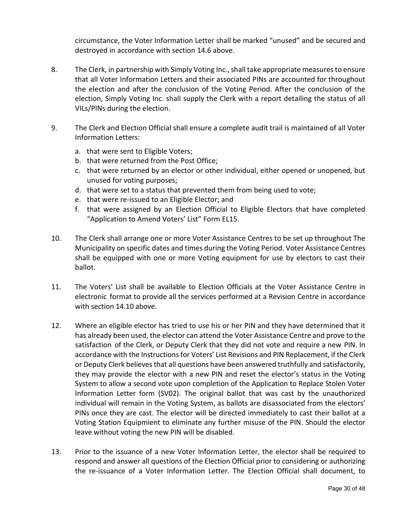circumstance, the Voter Information Letter shall be marked "unused" and be secured and destroyed in accordance with section [14.6](#page-28-0) above.

- 8. The Clerk, in partnership with Simply Voting Inc., shall take appropriate measures to ensure that all Voter Information Letters and their associated PINs are accounted for throughout the election and after the conclusion of the Voting Period. After the conclusion of the election, Simply Voting Inc. shall supply the Clerk with a report detailing the status of all VILs/PINs during the election.
- 9. The Clerk and Election Official shall ensure a complete audit trail is maintained of all Voter Information Letters:
	- a. that were sent to Eligible Voters;
	- b. that were returned from the Post Office;
	- c. that were returned by an elector or other individual, either opened or unopened, but unused for voting purposes;
	- d. that were set to a status that prevented them from being used to vote;
	- e. that were re-issued to an Eligible Elector; and
	- f. that were assigned by an Election Official to Eligible Electors that have completed "Application to Amend Voters' List" Form EL15.
- 10. The Clerk shall arrange one or more Voter Assistance Centres to be set up throughout The Municipality on specific dates and times during the Voting Period. Voter Assistance Centres shall be equipped with one or more Voting equipment for use by electors to cast their ballot.
- 11. The Voters' List shall be available to Election Officials at the Voter Assistance Centre in electronic format to provide all the services performed at a Revision Centre in accordance with section 14.10 above.
- 12. Where an eligible elector has tried to use his or her PIN and they have determined that it has already been used, the elector can attend the Voter Assistance Centre and prove to the satisfaction of the Clerk, or Deputy Clerk that they did not vote and require a new PIN. In accordance with the Instructions for Voters' List Revisions and PIN Replacement, if the Clerk or Deputy Clerk believes that all questions have been answered truthfully and satisfactorily, they may provide the elector with a new PIN and reset the elector's status in the Voting System to allow a second vote upon completion of the Application to Replace Stolen Voter Information Letter form (SV02). The original ballot that was cast by the unauthorized individual will remain in the Voting System, as ballots are disassociated from the electors' PINs once they are cast. The elector will be directed immediately to cast their ballot at a Voting Station Equipmient to eliminate any further misuse of the PIN. Should the elector leave without voting the new PIN will be disabled.
- 13. Prior to the issuance of a new Voter Information Letter, the elector shall be required to respond and answer all questions of the Election Official prior to considering or authorizing the re-issuance of a Voter Information Letter. The Election Official shall document, to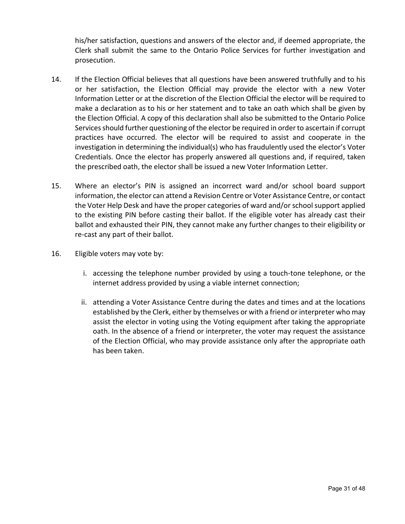his/her satisfaction, questions and answers of the elector and, if deemed appropriate, the Clerk shall submit the same to the Ontario Police Services for further investigation and prosecution.

- 14. If the Election Official believes that all questions have been answered truthfully and to his or her satisfaction, the Election Official may provide the elector with a new Voter Information Letter or at the discretion of the Election Official the elector will be required to make a declaration as to his or her statement and to take an oath which shall be given by the Election Official. A copy of this declaration shall also be submitted to the Ontario Police Services should further questioning of the elector be required in order to ascertain if corrupt practices have occurred. The elector will be required to assist and cooperate in the investigation in determining the individual(s) who has fraudulently used the elector's Voter Credentials. Once the elector has properly answered all questions and, if required, taken the prescribed oath, the elector shall be issued a new Voter Information Letter.
- 15. Where an elector's PIN is assigned an incorrect ward and/or school board support information, the elector can attend a Revision Centre or Voter Assistance Centre, or contact the Voter Help Desk and have the proper categories of ward and/or school support applied to the existing PIN before casting their ballot. If the eligible voter has already cast their ballot and exhausted their PIN, they cannot make any further changes to their eligibility or re-cast any part of their ballot.
- 16. Eligible voters may vote by:
	- i. accessing the telephone number provided by using a touch-tone telephone, or the internet address provided by using a viable internet connection;
	- ii. attending a Voter Assistance Centre during the dates and times and at the locations established by the Clerk, either by themselves or with a friend or interpreter who may assist the elector in voting using the Voting equipment after taking the appropriate oath. In the absence of a friend or interpreter, the voter may request the assistance of the Election Official, who may provide assistance only after the appropriate oath has been taken.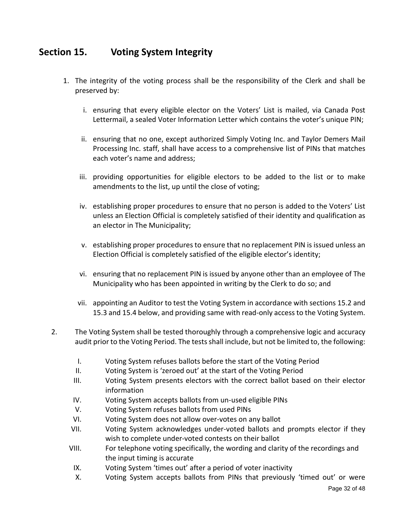# <span id="page-31-0"></span>**Section 15. Voting System Integrity**

- 1. The integrity of the voting process shall be the responsibility of the Clerk and shall be preserved by:
	- i. ensuring that every eligible elector on the Voters' List is mailed, via Canada Post Lettermail, a sealed Voter Information Letter which contains the voter's unique PIN;
	- ii. ensuring that no one, except authorized Simply Voting Inc. and Taylor Demers Mail Processing Inc. staff, shall have access to a comprehensive list of PINs that matches each voter's name and address;
	- iii. providing opportunities for eligible electors to be added to the list or to make amendments to the list, up until the close of voting;
	- iv. establishing proper procedures to ensure that no person is added to the Voters' List unless an Election Official is completely satisfied of their identity and qualification as an elector in The Municipality;
	- v. establishing proper procedures to ensure that no replacement PIN is issued unless an Election Official is completely satisfied of the eligible elector's identity;
	- vi. ensuring that no replacement PIN is issued by anyone other than an employee of The Municipality who has been appointed in writing by the Clerk to do so; and
	- vii. appointing an Auditor to test the Voting System in accordance with sections 15.2 and 15.3 and 15.4 below, and providing same with read-only access to the Voting System.
- 2. The Voting System shall be tested thoroughly through a comprehensive logic and accuracy audit prior to the Voting Period. The tests shall include, but not be limited to, the following:
	- I. Voting System refuses ballots before the start of the Voting Period
	- II. Voting System is 'zeroed out' at the start of the Voting Period
	- III. Voting System presents electors with the correct ballot based on their elector information
	- IV. Voting System accepts ballots from un-used eligible PINs
	- V. Voting System refuses ballots from used PINs
	- VI. Voting System does not allow over-votes on any ballot
	- VII. Voting System acknowledges under-voted ballots and prompts elector if they wish to complete under-voted contests on their ballot
	- VIII. For telephone voting specifically, the wording and clarity of the recordings and the input timing is accurate
	- IX. Voting System 'times out' after a period of voter inactivity
	- X. Voting System accepts ballots from PINs that previously 'timed out' or were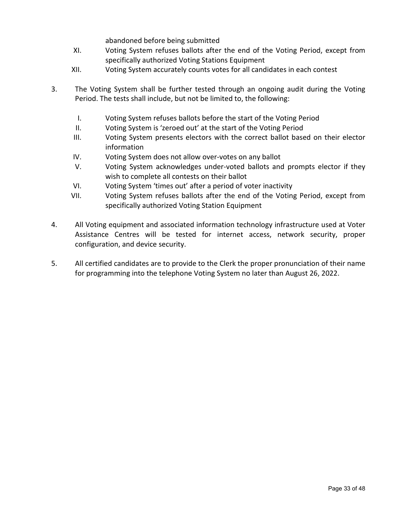abandoned before being submitted

- XI. Voting System refuses ballots after the end of the Voting Period, except from specifically authorized Voting Stations Equipment
- XII. Voting System accurately counts votes for all candidates in each contest
- 3. The Voting System shall be further tested through an ongoing audit during the Voting Period. The tests shall include, but not be limited to, the following:
	- I. Voting System refuses ballots before the start of the Voting Period
	- II. Voting System is 'zeroed out' at the start of the Voting Period
	- III. Voting System presents electors with the correct ballot based on their elector information
	- IV. Voting System does not allow over-votes on any ballot
	- V. Voting System acknowledges under-voted ballots and prompts elector if they wish to complete all contests on their ballot
	- VI. Voting System 'times out' after a period of voter inactivity
	- VII. Voting System refuses ballots after the end of the Voting Period, except from specifically authorized Voting Station Equipment
- 4. All Voting equipment and associated information technology infrastructure used at Voter Assistance Centres will be tested for internet access, network security, proper configuration, and device security.
- 5. All certified candidates are to provide to the Clerk the proper pronunciation of their name for programming into the telephone Voting System no later than August 26, 2022.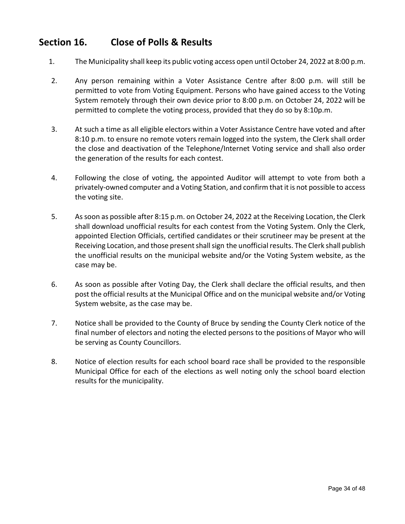## <span id="page-33-0"></span>**Section 16. Close of Polls & Results**

- 1. The Municipality shall keep its public voting access open until October 24, 2022 at 8:00 p.m.
- 2. Any person remaining within a Voter Assistance Centre after 8:00 p.m. will still be permitted to vote from Voting Equipment. Persons who have gained access to the Voting System remotely through their own device prior to 8:00 p.m. on October 24, 2022 will be permitted to complete the voting process, provided that they do so by 8:10p.m.
- 3. At such a time as all eligible electors within a Voter Assistance Centre have voted and after 8:10 p.m. to ensure no remote voters remain logged into the system, the Clerk shall order the close and deactivation of the Telephone/Internet Voting service and shall also order the generation of the results for each contest.
- 4. Following the close of voting, the appointed Auditor will attempt to vote from both a privately-owned computer and a Voting Station, and confirm that it is not possible to access the voting site.
- 5. As soon as possible after 8:15 p.m. on October 24, 2022 at the Receiving Location, the Clerk shall download unofficial results for each contest from the Voting System. Only the Clerk, appointed Election Officials, certified candidates or their scrutineer may be present at the Receiving Location, and those present shall sign the unofficial results. The Clerk shall publish the unofficial results on the municipal website and/or the Voting System website, as the case may be.
- 6. As soon as possible after Voting Day, the Clerk shall declare the official results, and then post the official results at the Municipal Office and on the municipal website and/or Voting System website, as the case may be.
- 7. Notice shall be provided to the County of Bruce by sending the County Clerk notice of the final number of electors and noting the elected persons to the positions of Mayor who will be serving as County Councillors.
- 8. Notice of election results for each school board race shall be provided to the responsible Municipal Office for each of the elections as well noting only the school board election results for the municipality.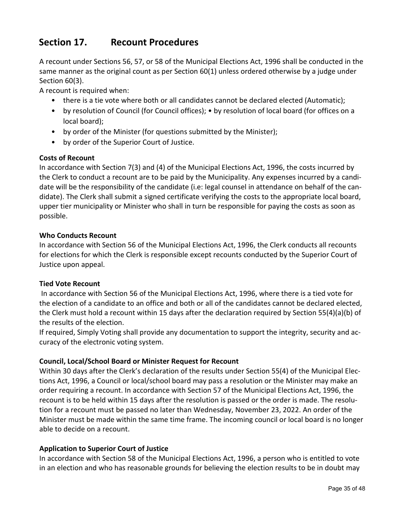# <span id="page-34-0"></span>**Section 17. Recount Procedures**

A recount under Sections 56, 57, or 58 of the Municipal Elections Act, 1996 shall be conducted in the same manner as the original count as per Section 60(1) unless ordered otherwise by a judge under Section 60(3).

A recount is required when:

- there is a tie vote where both or all candidates cannot be declared elected (Automatic);
- by resolution of Council (for Council offices); by resolution of local board (for offices on a local board);
- by order of the Minister (for questions submitted by the Minister);
- by order of the Superior Court of Justice.

#### **Costs of Recount**

In accordance with Section 7(3) and (4) of the Municipal Elections Act, 1996, the costs incurred by the Clerk to conduct a recount are to be paid by the Municipality. Any expenses incurred by a candidate will be the responsibility of the candidate (i.e: legal counsel in attendance on behalf of the candidate). The Clerk shall submit a signed certificate verifying the costs to the appropriate local board, upper tier municipality or Minister who shall in turn be responsible for paying the costs as soon as possible.

#### **Who Conducts Recount**

In accordance with Section 56 of the Municipal Elections Act, 1996, the Clerk conducts all recounts for elections for which the Clerk is responsible except recounts conducted by the Superior Court of Justice upon appeal.

#### **Tied Vote Recount**

In accordance with Section 56 of the Municipal Elections Act, 1996, where there is a tied vote for the election of a candidate to an office and both or all of the candidates cannot be declared elected, the Clerk must hold a recount within 15 days after the declaration required by Section 55(4)(a)(b) of the results of the election.

If required, Simply Voting shall provide any documentation to support the integrity, security and accuracy of the electronic voting system.

#### **Council, Local/School Board or Minister Request for Recount**

Within 30 days after the Clerk's declaration of the results under Section 55(4) of the Municipal Elections Act, 1996, a Council or local/school board may pass a resolution or the Minister may make an order requiring a recount. In accordance with Section 57 of the Municipal Elections Act, 1996, the recount is to be held within 15 days after the resolution is passed or the order is made. The resolution for a recount must be passed no later than Wednesday, November 23, 2022. An order of the Minister must be made within the same time frame. The incoming council or local board is no longer able to decide on a recount.

#### **Application to Superior Court of Justice**

In accordance with Section 58 of the Municipal Elections Act, 1996, a person who is entitled to vote in an election and who has reasonable grounds for believing the election results to be in doubt may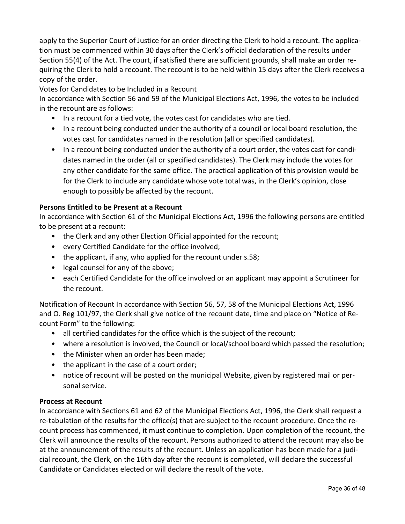apply to the Superior Court of Justice for an order directing the Clerk to hold a recount. The application must be commenced within 30 days after the Clerk's official declaration of the results under Section 55(4) of the Act. The court, if satisfied there are sufficient grounds, shall make an order requiring the Clerk to hold a recount. The recount is to be held within 15 days after the Clerk receives a copy of the order.

#### Votes for Candidates to be Included in a Recount

In accordance with Section 56 and 59 of the Municipal Elections Act, 1996, the votes to be included in the recount are as follows:

- In a recount for a tied vote, the votes cast for candidates who are tied.
- In a recount being conducted under the authority of a council or local board resolution, the votes cast for candidates named in the resolution (all or specified candidates).
- In a recount being conducted under the authority of a court order, the votes cast for candidates named in the order (all or specified candidates). The Clerk may include the votes for any other candidate for the same office. The practical application of this provision would be for the Clerk to include any candidate whose vote total was, in the Clerk's opinion, close enough to possibly be affected by the recount.

#### **Persons Entitled to be Present at a Recount**

In accordance with Section 61 of the Municipal Elections Act, 1996 the following persons are entitled to be present at a recount:

- the Clerk and any other Election Official appointed for the recount;
- every Certified Candidate for the office involved;
- the applicant, if any, who applied for the recount under s.58;
- legal counsel for any of the above;
- each Certified Candidate for the office involved or an applicant may appoint a Scrutineer for the recount.

Notification of Recount In accordance with Section 56, 57, 58 of the Municipal Elections Act, 1996 and O. Reg 101/97, the Clerk shall give notice of the recount date, time and place on "Notice of Recount Form" to the following:

- all certified candidates for the office which is the subject of the recount;
- where a resolution is involved, the Council or local/school board which passed the resolution;
- the Minister when an order has been made;
- the applicant in the case of a court order;
- notice of recount will be posted on the municipal Website, given by registered mail or personal service.

#### **Process at Recount**

In accordance with Sections 61 and 62 of the Municipal Elections Act, 1996, the Clerk shall request a re-tabulation of the results for the office(s) that are subject to the recount procedure. Once the recount process has commenced, it must continue to completion. Upon completion of the recount, the Clerk will announce the results of the recount. Persons authorized to attend the recount may also be at the announcement of the results of the recount. Unless an application has been made for a judicial recount, the Clerk, on the 16th day after the recount is completed, will declare the successful Candidate or Candidates elected or will declare the result of the vote.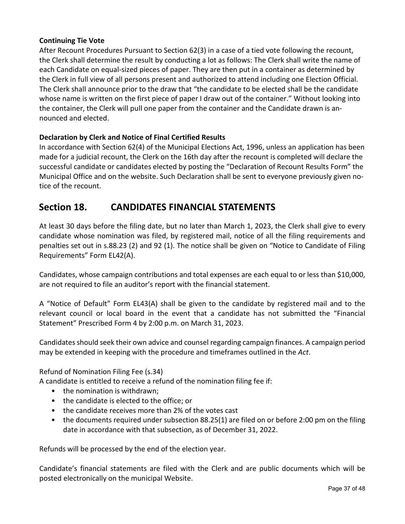#### **Continuing Tie Vote**

After Recount Procedures Pursuant to Section 62(3) in a case of a tied vote following the recount, the Clerk shall determine the result by conducting a lot as follows: The Clerk shall write the name of each Candidate on equal-sized pieces of paper. They are then put in a container as determined by the Clerk in full view of all persons present and authorized to attend including one Election Official. The Clerk shall announce prior to the draw that "the candidate to be elected shall be the candidate whose name is written on the first piece of paper I draw out of the container." Without looking into the container, the Clerk will pull one paper from the container and the Candidate drawn is announced and elected.

#### **Declaration by Clerk and Notice of Final Certified Results**

In accordance with Section 62(4) of the Municipal Elections Act, 1996, unless an application has been made for a judicial recount, the Clerk on the 16th day after the recount is completed will declare the successful candidate or candidates elected by posting the "Declaration of Recount Results Form" the Municipal Office and on the website. Such Declaration shall be sent to everyone previously given notice of the recount.

### <span id="page-36-0"></span>**Section 18. CANDIDATES FINANCIAL STATEMENTS**

At least 30 days before the filing date, but no later than March 1, 2023, the Clerk shall give to every candidate whose nomination was filed, by registered mail, notice of all the filing requirements and penalties set out in s.88.23 (2) and 92 (1). The notice shall be given on "Notice to Candidate of Filing Requirements" Form EL42(A).

Candidates, whose campaign contributions and total expenses are each equal to or less than \$10,000, are not required to file an auditor's report with the financial statement.

A "Notice of Default" Form EL43(A) shall be given to the candidate by registered mail and to the relevant council or local board in the event that a candidate has not submitted the "Financial Statement" Prescribed Form 4 by 2:00 p.m. on March 31, 2023.

Candidates should seek their own advice and counsel regarding campaign finances. A campaign period may be extended in keeping with the procedure and timeframes outlined in the *Act*.

Refund of Nomination Filing Fee (s.34)

A candidate is entitled to receive a refund of the nomination filing fee if:

- the nomination is withdrawn;
- the candidate is elected to the office; or
- the candidate receives more than 2% of the votes cast
- the documents required under subsection 88.25(1) are filed on or before 2:00 pm on the filing date in accordance with that subsection, as of December 31, 2022.

Refunds will be processed by the end of the election year.

Candidate's financial statements are filed with the Clerk and are public documents which will be posted electronically on the municipal Website.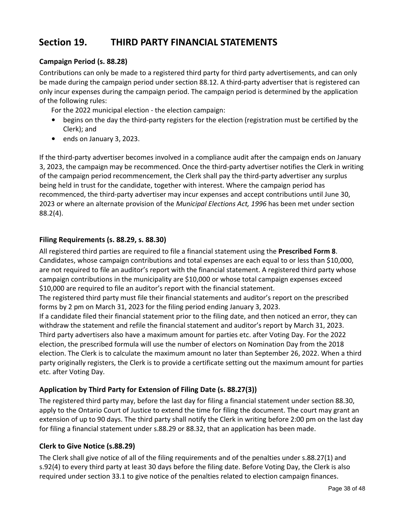# <span id="page-37-0"></span>**Section 19. THIRD PARTY FINANCIAL STATEMENTS**

#### **Campaign Period (s. 88.28)**

Contributions can only be made to a registered third party for third party advertisements, and can only be made during the campaign period under section 88.12. A third-party advertiser that is registered can only incur expenses during the campaign period. The campaign period is determined by the application of the following rules:

For the 2022 municipal election - the election campaign:

- begins on the day the third-party registers for the election (registration must be certified by the Clerk); and
- ends on January 3, 2023.

If the third-party advertiser becomes involved in a compliance audit after the campaign ends on January 3, 2023, the campaign may be recommenced. Once the third-party advertiser notifies the Clerk in writing of the campaign period recommencement, the Clerk shall pay the third-party advertiser any surplus being held in trust for the candidate, together with interest. Where the campaign period has recommenced, the third-party advertiser may incur expenses and accept contributions until June 30, 2023 or where an alternate provision of the *Municipal Elections Act, 1996* has been met under section 88.2(4).

#### **Filing Requirements (s. 88.29, s. 88.30)**

All registered third parties are required to file a financial statement using the **Prescribed Form 8**. Candidates, whose campaign contributions and total expenses are each equal to or less than \$10,000, are not required to file an auditor's report with the financial statement. A registered third party whose campaign contributions in the municipality are \$10,000 or whose total campaign expenses exceed \$10,000 are required to file an auditor's report with the financial statement.

The registered third party must file their financial statements and auditor's report on the prescribed forms by 2 pm on March 31, 2023 for the filing period ending January 3, 2023.

If a candidate filed their financial statement prior to the filing date, and then noticed an error, they can withdraw the statement and refile the financial statement and auditor's report by March 31, 2023. Third party advertisers also have a maximum amount for parties etc. after Voting Day. For the 2022 election, the prescribed formula will use the number of electors on Nomination Day from the 2018 election. The Clerk is to calculate the maximum amount no later than September 26, 2022. When a third party originally registers, the Clerk is to provide a certificate setting out the maximum amount for parties etc. after Voting Day.

#### **Application by Third Party for Extension of Filing Date (s. 88.27(3))**

The registered third party may, before the last day for filing a financial statement under section 88.30, apply to the Ontario Court of Justice to extend the time for filing the document. The court may grant an extension of up to 90 days. The third party shall notify the Clerk in writing before 2:00 pm on the last day for filing a financial statement under s.88.29 or 88.32, that an application has been made.

#### **Clerk to Give Notice (s.88.29)**

The Clerk shall give notice of all of the filing requirements and of the penalties under s.88.27(1) and s.92(4) to every third party at least 30 days before the filing date. Before Voting Day, the Clerk is also required under section 33.1 to give notice of the penalties related to election campaign finances.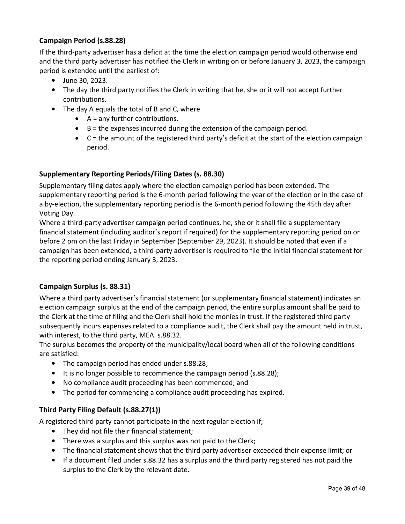#### **Campaign Period (s.88.28)**

If the third-party advertiser has a deficit at the time the election campaign period would otherwise end and the third party advertiser has notified the Clerk in writing on or before January 3, 2023, the campaign period is extended until the earliest of:

- June 30, 2023.
- The day the third party notifies the Clerk in writing that he, she or it will not accept further contributions.
- The day A equals the total of B and C, where
	- $\bullet$  A = any further contributions.
	- $\bullet$  B = the expenses incurred during the extension of the campaign period.
	- C = the amount of the registered third party's deficit at the start of the election campaign period.

#### **Supplementary Reporting Periods/Filing Dates (s. 88.30)**

Supplementary filing dates apply where the election campaign period has been extended. The supplementary reporting period is the 6-month period following the year of the election or in the case of a by-election, the supplementary reporting period is the 6-month period following the 45th day after Voting Day.

Where a third-party advertiser campaign period continues, he, she or it shall file a supplementary financial statement (including auditor's report if required) for the supplementary reporting period on or before 2 pm on the last Friday in September (September 29, 2023). It should be noted that even if a campaign has been extended, a third-party advertiser is required to file the initial financial statement for the reporting period ending January 3, 2023.

#### **Campaign Surplus (s. 88.31)**

Where a third party advertiser's financial statement (or supplementary financial statement) indicates an election campaign surplus at the end of the campaign period, the entire surplus amount shall be paid to the Clerk at the time of filing and the Clerk shall hold the monies in trust. If the registered third party subsequently incurs expenses related to a compliance audit, the Clerk shall pay the amount held in trust, with interest, to the third party, MEA. s.88.32.

The surplus becomes the property of the municipality/local board when all of the following conditions are satisfied:

- The campaign period has ended under s.88.28;
- It is no longer possible to recommence the campaign period (s.88.28);
- No compliance audit proceeding has been commenced; and
- The period for commencing a compliance audit proceeding has expired.

#### **Third Party Filing Default (s.88.27(1))**

A registered third party cannot participate in the next regular election if;

- They did not file their financial statement;
- There was a surplus and this surplus was not paid to the Clerk;
- The financial statement shows that the third party advertiser exceeded their expense limit; or
- If a document filed under s.88.32 has a surplus and the third party registered has not paid the surplus to the Clerk by the relevant date.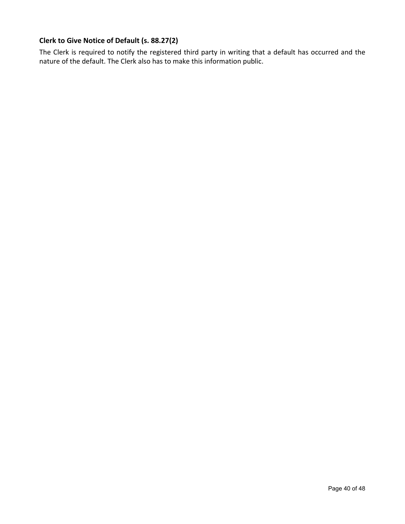#### **Clerk to Give Notice of Default (s. 88.27(2)**

The Clerk is required to notify the registered third party in writing that a default has occurred and the nature of the default. The Clerk also has to make this information public.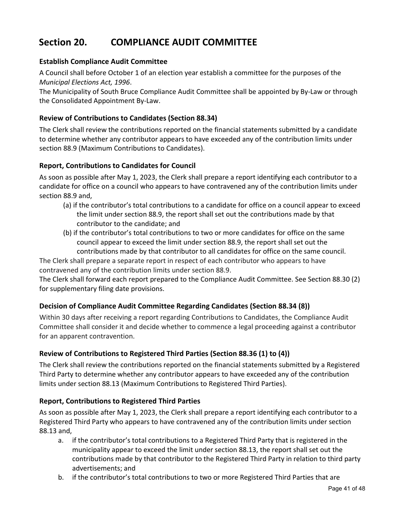# <span id="page-40-0"></span>**Section 20. COMPLIANCE AUDIT COMMITTEE**

#### **Establish Compliance Audit Committee**

A Council shall before October 1 of an election year establish a committee for the purposes of the *Municipal Elections Act, 1996*.

The Municipality of South Bruce Compliance Audit Committee shall be appointed by By-Law or through the Consolidated Appointment By-Law.

#### **Review of Contributions to Candidates (Section 88.34)**

The Clerk shall review the contributions reported on the financial statements submitted by a candidate to determine whether any contributor appears to have exceeded any of the contribution limits under section 88.9 (Maximum Contributions to Candidates).

#### **Report, Contributions to Candidates for Council**

As soon as possible after May 1, 2023, the Clerk shall prepare a report identifying each contributor to a candidate for office on a council who appears to have contravened any of the contribution limits under section 88.9 and,

- (a) if the contributor's total contributions to a candidate for office on a council appear to exceed the limit under section 88.9, the report shall set out the contributions made by that contributor to the candidate; and
- (b) if the contributor's total contributions to two or more candidates for office on the same council appear to exceed the limit under section 88.9, the report shall set out the contributions made by that contributor to all candidates for office on the same council.

The Clerk shall prepare a separate report in respect of each contributor who appears to have contravened any of the contribution limits under section 88.9.

The Clerk shall forward each report prepared to the Compliance Audit Committee. See Section 88.30 (2) for supplementary filing date provisions.

#### **Decision of Compliance Audit Committee Regarding Candidates (Section 88.34 (8))**

Within 30 days after receiving a report regarding Contributions to Candidates, the Compliance Audit Committee shall consider it and decide whether to commence a legal proceeding against a contributor for an apparent contravention.

#### **Review of Contributions to Registered Third Parties (Section 88.36 (1) to (4))**

The Clerk shall review the contributions reported on the financial statements submitted by a Registered Third Party to determine whether any contributor appears to have exceeded any of the contribution limits under section 88.13 (Maximum Contributions to Registered Third Parties).

#### **Report, Contributions to Registered Third Parties**

As soon as possible after May 1, 2023, the Clerk shall prepare a report identifying each contributor to a Registered Third Party who appears to have contravened any of the contribution limits under section 88.13 and,

- a. if the contributor's total contributions to a Registered Third Party that is registered in the municipality appear to exceed the limit under section 88.13, the report shall set out the contributions made by that contributor to the Registered Third Party in relation to third party advertisements; and
- b. if the contributor's total contributions to two or more Registered Third Parties that are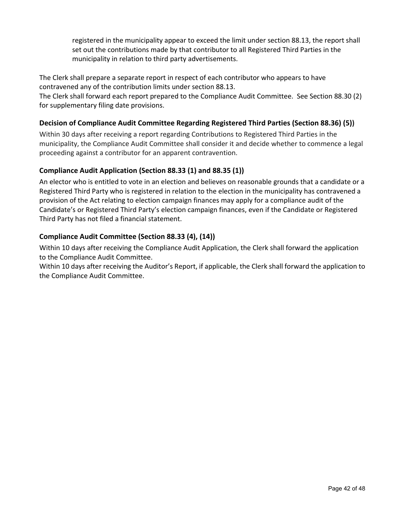registered in the municipality appear to exceed the limit under section 88.13, the report shall set out the contributions made by that contributor to all Registered Third Parties in the municipality in relation to third party advertisements.

The Clerk shall prepare a separate report in respect of each contributor who appears to have contravened any of the contribution limits under section 88.13.

The Clerk shall forward each report prepared to the Compliance Audit Committee. See Section 88.30 (2) for supplementary filing date provisions.

#### **Decision of Compliance Audit Committee Regarding Registered Third Parties (Section 88.36) (5))**

Within 30 days after receiving a report regarding Contributions to Registered Third Parties in the municipality, the Compliance Audit Committee shall consider it and decide whether to commence a legal proceeding against a contributor for an apparent contravention.

#### **Compliance Audit Application (Section 88.33 (1) and 88.35 (1))**

An elector who is entitled to vote in an election and believes on reasonable grounds that a candidate or a Registered Third Party who is registered in relation to the election in the municipality has contravened a provision of the Act relating to election campaign finances may apply for a compliance audit of the Candidate's or Registered Third Party's election campaign finances, even if the Candidate or Registered Third Party has not filed a financial statement.

#### **Compliance Audit Committee (Section 88.33 (4), (14))**

Within 10 days after receiving the Compliance Audit Application, the Clerk shall forward the application to the Compliance Audit Committee.

Within 10 days after receiving the Auditor's Report, if applicable, the Clerk shall forward the application to the Compliance Audit Committee.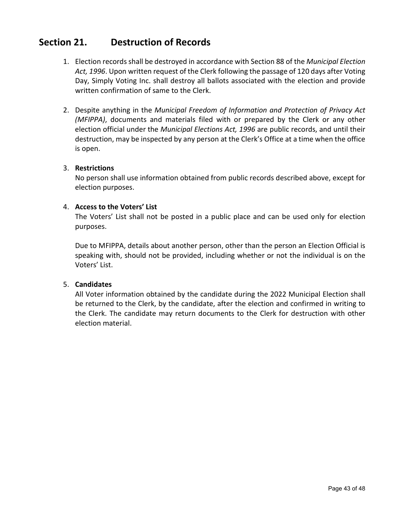# <span id="page-42-0"></span>**Section 21. Destruction of Records**

- 1. Election records shall be destroyed in accordance with Section 88 of the *Municipal Election Act, 1996*. Upon written request of the Clerk following the passage of 120 days after Voting Day, Simply Voting Inc. shall destroy all ballots associated with the election and provide written confirmation of same to the Clerk.
- 2. Despite anything in the *Municipal Freedom of Information and Protection of Privacy Act (MFIPPA)*, documents and materials filed with or prepared by the Clerk or any other election official under the *Municipal Elections Act, 1996* are public records, and until their destruction, may be inspected by any person at the Clerk's Office at a time when the office is open.

#### 3. **Restrictions**

No person shall use information obtained from public records described above, except for election purposes.

#### 4. **Access to the Voters' List**

The Voters' List shall not be posted in a public place and can be used only for election purposes.

Due to MFIPPA, details about another person, other than the person an Election Official is speaking with, should not be provided, including whether or not the individual is on the Voters' List.

#### 5. **Candidates**

All Voter information obtained by the candidate during the 2022 Municipal Election shall be returned to the Clerk, by the candidate, after the election and confirmed in writing to the Clerk. The candidate may return documents to the Clerk for destruction with other election material.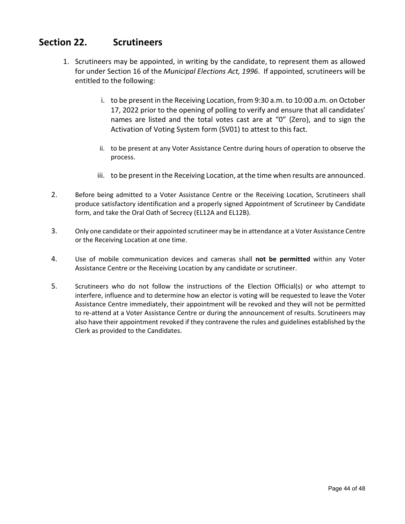# **Section 22. Scrutineers**

- <span id="page-43-0"></span>1. Scrutineers may be appointed, in writing by the candidate, to represent them as allowed for under Section 16 of the *Municipal Elections Act, 1996*. If appointed, scrutineers will be entitled to the following:
	- i. to be present in the Receiving Location, from 9:30 a.m. to 10:00 a.m. on October 17, 2022 prior to the opening of polling to verify and ensure that all candidates' names are listed and the total votes cast are at "0" (Zero), and to sign the Activation of Voting System form (SV01) to attest to this fact.
	- ii. to be present at any Voter Assistance Centre during hours of operation to observe the process.
	- iii. to be present in the Receiving Location, at the time when results are announced.
- 2. Before being admitted to a Voter Assistance Centre or the Receiving Location, Scrutineers shall produce satisfactory identification and a properly signed Appointment of Scrutineer by Candidate form, and take the Oral Oath of Secrecy (EL12A and EL12B).
- 3. Only one candidate or their appointed scrutineer may be in attendance at a Voter Assistance Centre or the Receiving Location at one time.
- 4. Use of mobile communication devices and cameras shall **not be permitted** within any Voter Assistance Centre or the Receiving Location by any candidate or scrutineer.
- 5. Scrutineers who do not follow the instructions of the Election Official(s) or who attempt to interfere, influence and to determine how an elector is voting will be requested to leave the Voter Assistance Centre immediately, their appointment will be revoked and they will not be permitted to re-attend at a Voter Assistance Centre or during the announcement of results. Scrutineers may also have their appointment revoked if they contravene the rules and guidelines established by the Clerk as provided to the Candidates.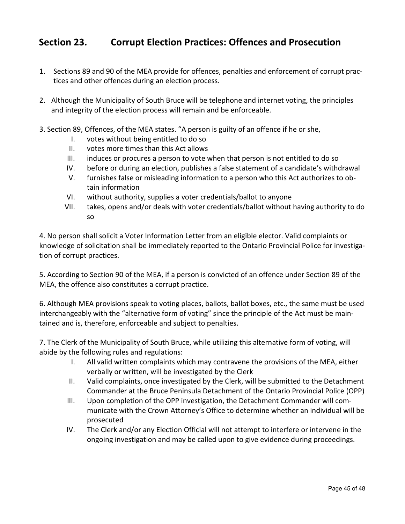# <span id="page-44-0"></span>**Section 23. Corrupt Election Practices: Offences and Prosecution**

- <span id="page-44-1"></span>1. Sections 89 and 90 of the MEA provide for offences, penalties and enforcement of corrupt practices and other offences during an election process.
- 2. Although the Municipality of South Bruce will be telephone and internet voting, the principles and integrity of the election process will remain and be enforceable.
- 3. Section 89, Offences, of the MEA states. "A person is guilty of an offence if he or she,
	- I. votes without being entitled to do so
	- II. votes more times than this Act allows
	- III. induces or procures a person to vote when that person is not entitled to do so
	- IV. before or during an election, publishes a false statement of a candidate's withdrawal
	- V. furnishes false or misleading information to a person who this Act authorizes to obtain information
	- VI. without authority, supplies a voter credentials/ballot to anyone
	- VII. takes, opens and/or deals with voter credentials/ballot without having authority to do so

4. No person shall solicit a Voter Information Letter from an eligible elector. Valid complaints or knowledge of solicitation shall be immediately reported to the Ontario Provincial Police for investigation of corrupt practices.

5. According to Section 90 of the MEA, if a person is convicted of an offence under Section 89 of the MEA, the offence also constitutes a corrupt practice.

6. Although MEA provisions speak to voting places, ballots, ballot boxes, etc., the same must be used interchangeably with the "alternative form of voting" since the principle of the Act must be maintained and is, therefore, enforceable and subject to penalties.

7. The Clerk of the Municipality of South Bruce, while utilizing this alternative form of voting, will abide by the following rules and regulations:

- I. All valid written complaints which may contravene the provisions of the MEA, either verbally or written, will be investigated by the Clerk
- II. Valid complaints, once investigated by the Clerk, will be submitted to the Detachment Commander at the Bruce Peninsula Detachment of the Ontario Provincial Police (OPP)
- III. Upon completion of the OPP investigation, the Detachment Commander will communicate with the Crown Attorney's Office to determine whether an individual will be prosecuted
- IV. The Clerk and/or any Election Official will not attempt to interfere or intervene in the ongoing investigation and may be called upon to give evidence during proceedings.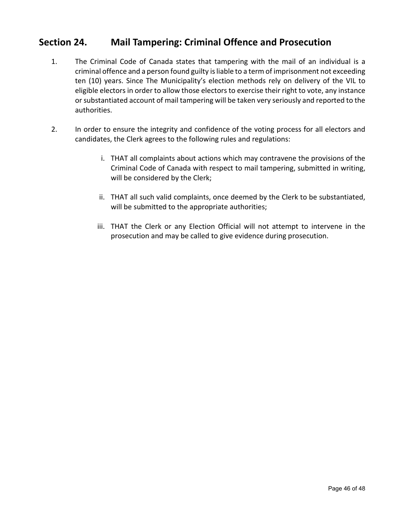### **Section 24. Mail Tampering: Criminal Offence and Prosecution**

- 1. The Criminal Code of Canada states that tampering with the mail of an individual is a criminal offence and a person found guilty is liable to a term of imprisonment not exceeding ten (10) years. Since The Municipality's election methods rely on delivery of the VIL to eligible electors in order to allow those electors to exercise their right to vote, any instance or substantiated account of mail tampering will be taken very seriously and reported to the authorities.
- 2. In order to ensure the integrity and confidence of the voting process for all electors and candidates, the Clerk agrees to the following rules and regulations:
	- i. THAT all complaints about actions which may contravene the provisions of the Criminal Code of Canada with respect to mail tampering, submitted in writing, will be considered by the Clerk;
	- ii. THAT all such valid complaints, once deemed by the Clerk to be substantiated, will be submitted to the appropriate authorities;
	- iii. THAT the Clerk or any Election Official will not attempt to intervene in the prosecution and may be called to give evidence during prosecution.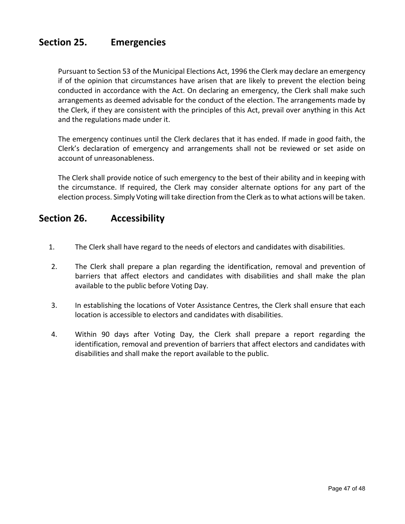## <span id="page-46-0"></span>**Section 25. Emergencies**

Pursuant to Section 53 of the Municipal Elections Act, 1996 the Clerk may declare an emergency if of the opinion that circumstances have arisen that are likely to prevent the election being conducted in accordance with the Act. On declaring an emergency, the Clerk shall make such arrangements as deemed advisable for the conduct of the election. The arrangements made by the Clerk, if they are consistent with the principles of this Act, prevail over anything in this Act and the regulations made under it.

The emergency continues until the Clerk declares that it has ended. If made in good faith, the Clerk's declaration of emergency and arrangements shall not be reviewed or set aside on account of unreasonableness.

The Clerk shall provide notice of such emergency to the best of their ability and in keeping with the circumstance. If required, the Clerk may consider alternate options for any part of the election process. Simply Voting will take direction from the Clerk as to what actions will be taken.

### <span id="page-46-1"></span>**Section 26. Accessibility**

- 1. The Clerk shall have regard to the needs of electors and candidates with disabilities.
- 2. The Clerk shall prepare a plan regarding the identification, removal and prevention of barriers that affect electors and candidates with disabilities and shall make the plan available to the public before Voting Day.
- 3. In establishing the locations of Voter Assistance Centres, the Clerk shall ensure that each location is accessible to electors and candidates with disabilities.
- 4. Within 90 days after Voting Day, the Clerk shall prepare a report regarding the identification, removal and prevention of barriers that affect electors and candidates with disabilities and shall make the report available to the public.